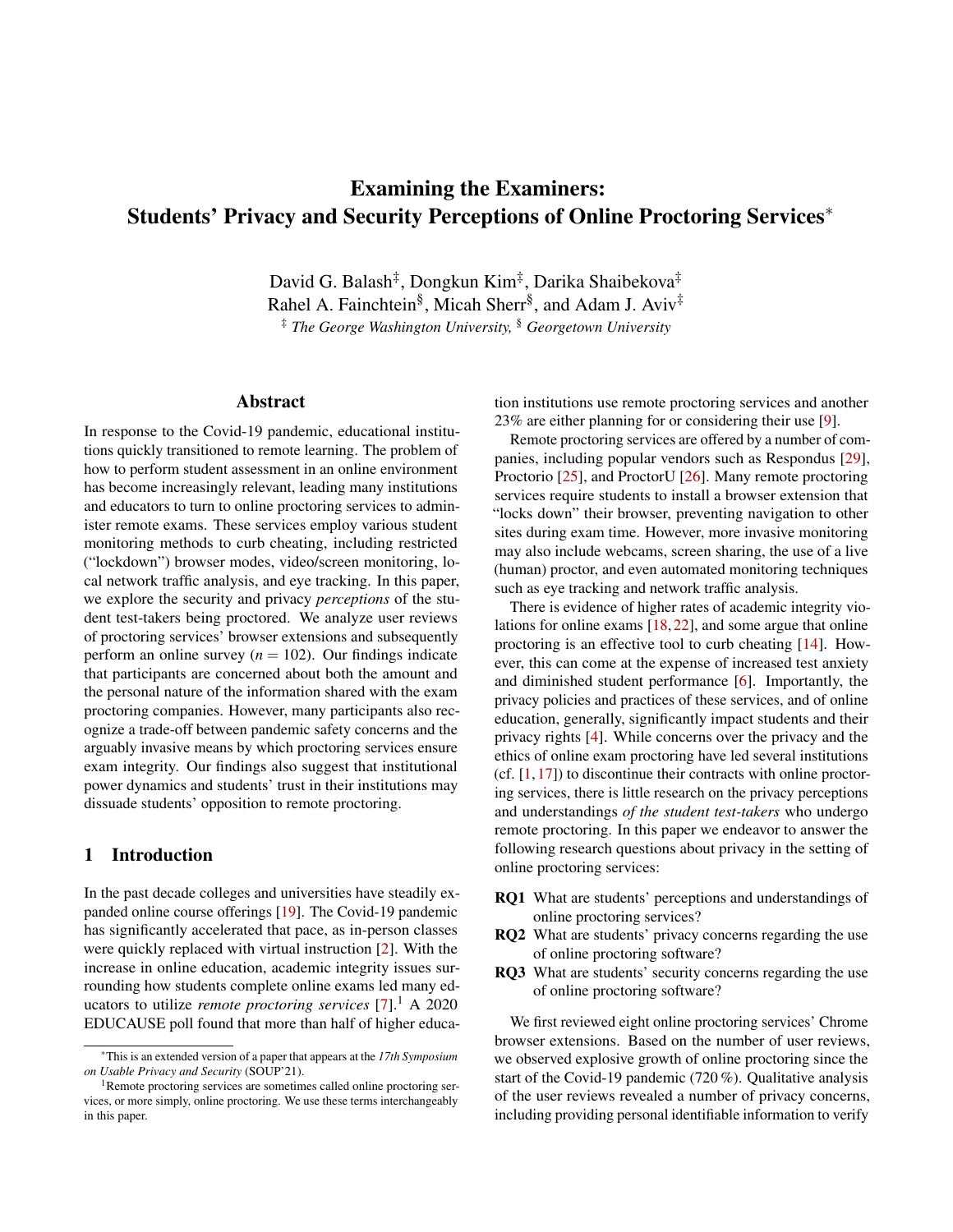# Examining the Examiners: Students' Privacy and Security Perceptions of Online Proctoring Services<sup>∗</sup>

David G. Balash‡, Dongkun Kim‡, Darika Shaibekova‡ Rahel A. Fainchtein<sup>§</sup>, Micah Sherr<sup>§</sup>, and Adam J. Aviv<sup>‡</sup> ‡ *The George Washington University,* § *Georgetown University*

## Abstract

In response to the Covid-19 pandemic, educational institutions quickly transitioned to remote learning. The problem of how to perform student assessment in an online environment has become increasingly relevant, leading many institutions and educators to turn to online proctoring services to administer remote exams. These services employ various student monitoring methods to curb cheating, including restricted ("lockdown") browser modes, video/screen monitoring, local network traffic analysis, and eye tracking. In this paper, we explore the security and privacy *perceptions* of the student test-takers being proctored. We analyze user reviews of proctoring services' browser extensions and subsequently perform an online survey  $(n = 102)$ . Our findings indicate that participants are concerned about both the amount and the personal nature of the information shared with the exam proctoring companies. However, many participants also recognize a trade-off between pandemic safety concerns and the arguably invasive means by which proctoring services ensure exam integrity. Our findings also suggest that institutional power dynamics and students' trust in their institutions may dissuade students' opposition to remote proctoring.

## 1 Introduction

In the past decade colleges and universities have steadily expanded online course offerings [\[19\]](#page-12-0). The Covid-19 pandemic has significantly accelerated that pace, as in-person classes were quickly replaced with virtual instruction [\[2\]](#page-12-1). With the increase in online education, academic integrity issues surrounding how students complete online exams led many educators to utilize *remote proctoring services* [\[7\]](#page-12-2).<sup>[1](#page-0-0)</sup> A 2020 EDUCAUSE poll found that more than half of higher education institutions use remote proctoring services and another 23% are either planning for or considering their use [\[9\]](#page-12-3).

Remote proctoring services are offered by a number of companies, including popular vendors such as Respondus [\[29\]](#page-13-0), Proctorio [\[25\]](#page-12-4), and ProctorU [\[26\]](#page-13-1). Many remote proctoring services require students to install a browser extension that "locks down" their browser, preventing navigation to other sites during exam time. However, more invasive monitoring may also include webcams, screen sharing, the use of a live (human) proctor, and even automated monitoring techniques such as eye tracking and network traffic analysis.

There is evidence of higher rates of academic integrity violations for online exams [\[18,](#page-12-5) [22\]](#page-12-6), and some argue that online proctoring is an effective tool to curb cheating [\[14\]](#page-12-7). However, this can come at the expense of increased test anxiety and diminished student performance [\[6\]](#page-12-8). Importantly, the privacy policies and practices of these services, and of online education, generally, significantly impact students and their privacy rights [\[4\]](#page-12-9). While concerns over the privacy and the ethics of online exam proctoring have led several institutions  $(cf. [1, 17])$  $(cf. [1, 17])$  $(cf. [1, 17])$  $(cf. [1, 17])$  $(cf. [1, 17])$  to discontinue their contracts with online proctoring services, there is little research on the privacy perceptions and understandings *of the student test-takers* who undergo remote proctoring. In this paper we endeavor to answer the following research questions about privacy in the setting of online proctoring services:

- <span id="page-0-1"></span>RQ1 What are students' perceptions and understandings of online proctoring services?
- <span id="page-0-2"></span>RQ2 What are students' privacy concerns regarding the use of online proctoring software?
- <span id="page-0-3"></span>RQ3 What are students' security concerns regarding the use of online proctoring software?

We first reviewed eight online proctoring services' Chrome browser extensions. Based on the number of user reviews, we observed explosive growth of online proctoring since the start of the Covid-19 pandemic (720 %). Qualitative analysis of the user reviews revealed a number of privacy concerns, including providing personal identifiable information to verify

<sup>∗</sup>This is an extended version of a paper that appears at the *17th Symposium on Usable Privacy and Security* (SOUP'21).

<span id="page-0-0"></span><sup>&</sup>lt;sup>1</sup>Remote proctoring services are sometimes called online proctoring services, or more simply, online proctoring. We use these terms interchangeably in this paper.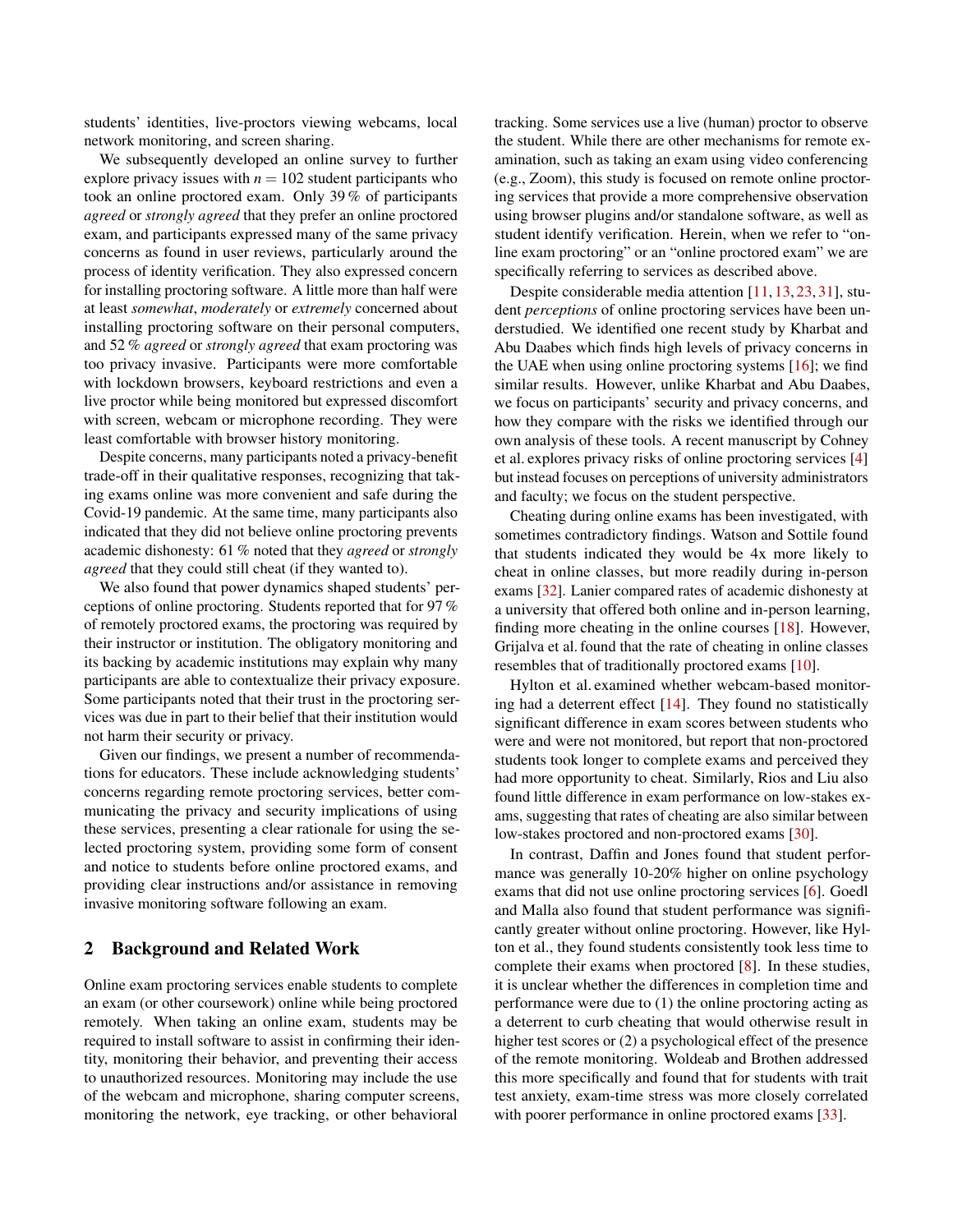students' identities, live-proctors viewing webcams, local network monitoring, and screen sharing.

We subsequently developed an online survey to further explore privacy issues with  $n = 102$  student participants who took an online proctored exam. Only 39 % of participants *agreed* or *strongly agreed* that they prefer an online proctored exam, and participants expressed many of the same privacy concerns as found in user reviews, particularly around the process of identity verification. They also expressed concern for installing proctoring software. A little more than half were at least *somewhat*, *moderately* or *extremely* concerned about installing proctoring software on their personal computers, and 52 % *agreed* or *strongly agreed* that exam proctoring was too privacy invasive. Participants were more comfortable with lockdown browsers, keyboard restrictions and even a live proctor while being monitored but expressed discomfort with screen, webcam or microphone recording. They were least comfortable with browser history monitoring.

Despite concerns, many participants noted a privacy-benefit trade-off in their qualitative responses, recognizing that taking exams online was more convenient and safe during the Covid-19 pandemic. At the same time, many participants also indicated that they did not believe online proctoring prevents academic dishonesty: 61 % noted that they *agreed* or *strongly agreed* that they could still cheat (if they wanted to).

We also found that power dynamics shaped students' perceptions of online proctoring. Students reported that for 97 % of remotely proctored exams, the proctoring was required by their instructor or institution. The obligatory monitoring and its backing by academic institutions may explain why many participants are able to contextualize their privacy exposure. Some participants noted that their trust in the proctoring services was due in part to their belief that their institution would not harm their security or privacy.

Given our findings, we present a number of recommendations for educators. These include acknowledging students' concerns regarding remote proctoring services, better communicating the privacy and security implications of using these services, presenting a clear rationale for using the selected proctoring system, providing some form of consent and notice to students before online proctored exams, and providing clear instructions and/or assistance in removing invasive monitoring software following an exam.

## 2 Background and Related Work

Online exam proctoring services enable students to complete an exam (or other coursework) online while being proctored remotely. When taking an online exam, students may be required to install software to assist in confirming their identity, monitoring their behavior, and preventing their access to unauthorized resources. Monitoring may include the use of the webcam and microphone, sharing computer screens, monitoring the network, eye tracking, or other behavioral

tracking. Some services use a live (human) proctor to observe the student. While there are other mechanisms for remote examination, such as taking an exam using video conferencing (e.g., Zoom), this study is focused on remote online proctoring services that provide a more comprehensive observation using browser plugins and/or standalone software, as well as student identify verification. Herein, when we refer to "online exam proctoring" or an "online proctored exam" we are specifically referring to services as described above.

Despite considerable media attention [\[11,](#page-12-11) [13,](#page-12-12) [23,](#page-12-13) [31\]](#page-13-2), student *perceptions* of online proctoring services have been understudied. We identified one recent study by Kharbat and Abu Daabes which finds high levels of privacy concerns in the UAE when using online proctoring systems [\[16\]](#page-12-14); we find similar results. However, unlike Kharbat and Abu Daabes, we focus on participants' security and privacy concerns, and how they compare with the risks we identified through our own analysis of these tools. A recent manuscript by Cohney et al. explores privacy risks of online proctoring services [\[4\]](#page-12-9) but instead focuses on perceptions of university administrators and faculty; we focus on the student perspective.

Cheating during online exams has been investigated, with sometimes contradictory findings. Watson and Sottile found that students indicated they would be 4x more likely to cheat in online classes, but more readily during in-person exams [\[32\]](#page-13-3). Lanier compared rates of academic dishonesty at a university that offered both online and in-person learning, finding more cheating in the online courses [\[18\]](#page-12-5). However, Grijalva et al. found that the rate of cheating in online classes resembles that of traditionally proctored exams [\[10\]](#page-12-15).

Hylton et al. examined whether webcam-based monitoring had a deterrent effect [\[14\]](#page-12-7). They found no statistically significant difference in exam scores between students who were and were not monitored, but report that non-proctored students took longer to complete exams and perceived they had more opportunity to cheat. Similarly, Rios and Liu also found little difference in exam performance on low-stakes exams, suggesting that rates of cheating are also similar between low-stakes proctored and non-proctored exams [\[30\]](#page-13-4).

In contrast, Daffin and Jones found that student performance was generally 10-20% higher on online psychology exams that did not use online proctoring services [\[6\]](#page-12-8). Goedl and Malla also found that student performance was significantly greater without online proctoring. However, like Hylton et al., they found students consistently took less time to complete their exams when proctored [\[8\]](#page-12-16). In these studies, it is unclear whether the differences in completion time and performance were due to (1) the online proctoring acting as a deterrent to curb cheating that would otherwise result in higher test scores or (2) a psychological effect of the presence of the remote monitoring. Woldeab and Brothen addressed this more specifically and found that for students with trait test anxiety, exam-time stress was more closely correlated with poorer performance in online proctored exams [\[33\]](#page-13-5).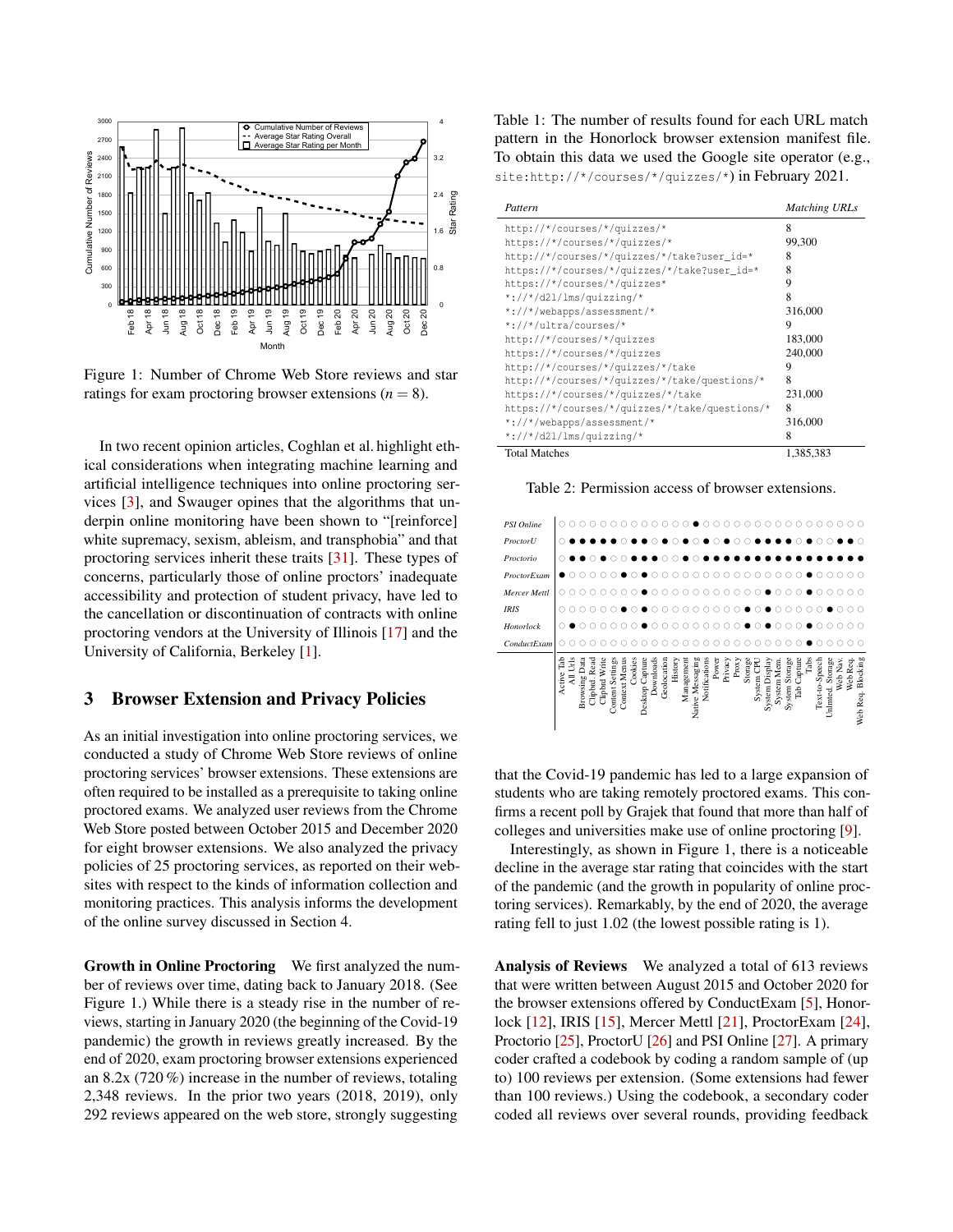<span id="page-2-0"></span>

Figure 1: Number of Chrome Web Store reviews and star ratings for exam proctoring browser extensions  $(n = 8)$ .

In two recent opinion articles, Coghlan et al. highlight ethical considerations when integrating machine learning and artificial intelligence techniques into online proctoring services [\[3\]](#page-12-17), and Swauger opines that the algorithms that underpin online monitoring have been shown to "[reinforce] white supremacy, sexism, ableism, and transphobia" and that proctoring services inherit these traits [\[31\]](#page-13-2). These types of concerns, particularly those of online proctors' inadequate accessibility and protection of student privacy, have led to the cancellation or discontinuation of contracts with online proctoring vendors at the University of Illinois [\[17\]](#page-12-10) and the University of California, Berkeley [\[1\]](#page-11-0).

#### <span id="page-2-3"></span>3 Browser Extension and Privacy Policies

As an initial investigation into online proctoring services, we conducted a study of Chrome Web Store reviews of online proctoring services' browser extensions. These extensions are often required to be installed as a prerequisite to taking online proctored exams. We analyzed user reviews from the Chrome Web Store posted between October 2015 and December 2020 for eight browser extensions. We also analyzed the privacy policies of 25 proctoring services, as reported on their websites with respect to the kinds of information collection and monitoring practices. This analysis informs the development of the online survey discussed in Section [4.](#page-3-0)

Growth in Online Proctoring We first analyzed the number of reviews over time, dating back to January 2018. (See Figure [1.](#page-2-0)) While there is a steady rise in the number of reviews, starting in January 2020 (the beginning of the Covid-19 pandemic) the growth in reviews greatly increased. By the end of 2020, exam proctoring browser extensions experienced an 8.2x (720 %) increase in the number of reviews, totaling 2,348 reviews. In the prior two years (2018, 2019), only 292 reviews appeared on the web store, strongly suggesting

<span id="page-2-1"></span>Table 1: The number of results found for each URL match pattern in the Honorlock browser extension manifest file. To obtain this data we used the Google site operator (e.g., site:http://\*/courses/\*/quizzes/\*) in February 2021.

| Pattern                                        | <b>Matching URLs</b> |
|------------------------------------------------|----------------------|
| http://*/courses/*/quizzes/*                   | 8                    |
| https://*/courses/*/quizzes/*                  | 99,300               |
| http://*/courses/*/quizzes/*/take?user_id=*    | 8                    |
| https://*/courses/*/quizzes/*/take?user_id=*   | 8                    |
| https://*/courses/*/quizzes*                   | 9                    |
| $*$ ://*/d21/1ms/quizzing/*                    | 8                    |
| *://*/webapps/assessment/*                     | 316,000              |
| *://*/ultra/courses/*                          | 9                    |
| http://*/courses/*/quizzes                     | 183,000              |
| https://*/courses/*/quizzes                    | 240,000              |
| http://*/courses/*/quizzes/*/take              | 9                    |
| http://*/courses/*/quizzes/*/take/questions/*  | 8                    |
| https://*/courses/*/quizzes/*/take             | 231,000              |
| https://*/courses/*/quizzes/*/take/questions/* | 8                    |
| *://*/webapps/assessment/*                     | 316,000              |
| $*://*/d21/lms/quizzing/*$                     | 8                    |
| <b>Total Matches</b>                           | 1.385.383            |

<span id="page-2-2"></span>Table 2: Permission access of browser extensions.



that the Covid-19 pandemic has led to a large expansion of students who are taking remotely proctored exams. This confirms a recent poll by Grajek that found that more than half of colleges and universities make use of online proctoring [\[9\]](#page-12-3).

Interestingly, as shown in Figure [1,](#page-2-0) there is a noticeable decline in the average star rating that coincides with the start of the pandemic (and the growth in popularity of online proctoring services). Remarkably, by the end of 2020, the average rating fell to just 1.02 (the lowest possible rating is 1).

Analysis of Reviews We analyzed a total of 613 reviews that were written between August 2015 and October 2020 for the browser extensions offered by ConductExam [\[5\]](#page-12-18), Honorlock [\[12\]](#page-12-19), IRIS [\[15\]](#page-12-20), Mercer Mettl [\[21\]](#page-12-21), ProctorExam [\[24\]](#page-12-22), Proctorio [\[25\]](#page-12-4), ProctorU [\[26\]](#page-13-1) and PSI Online [\[27\]](#page-13-6). A primary coder crafted a codebook by coding a random sample of (up to) 100 reviews per extension. (Some extensions had fewer than 100 reviews.) Using the codebook, a secondary coder coded all reviews over several rounds, providing feedback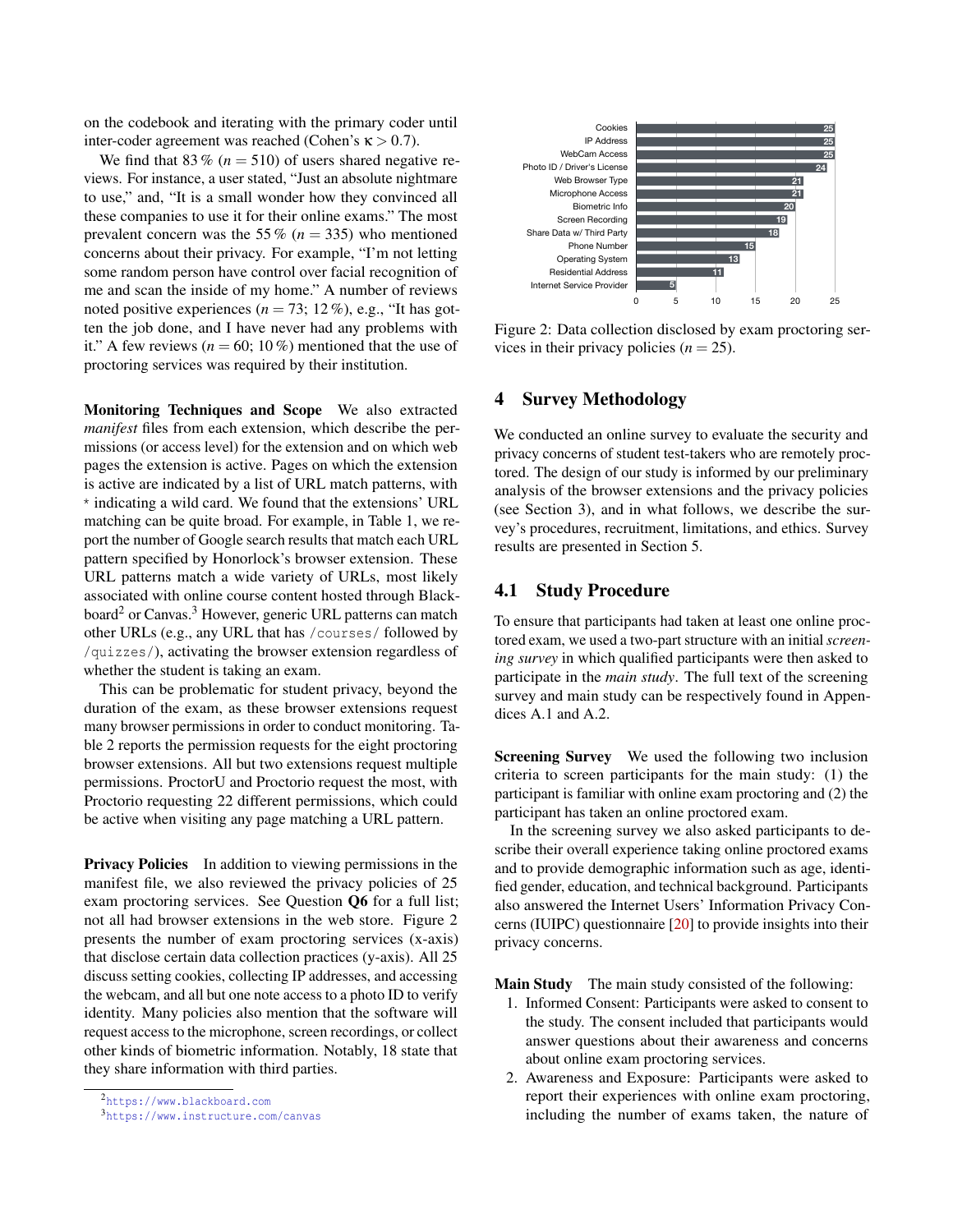on the codebook and iterating with the primary coder until inter-coder agreement was reached (Cohen's  $\kappa > 0.7$ ).

We find that 83 % ( $n = 510$ ) of users shared negative reviews. For instance, a user stated, "Just an absolute nightmare to use," and, "It is a small wonder how they convinced all these companies to use it for their online exams." The most prevalent concern was the 55 % ( $n = 335$ ) who mentioned concerns about their privacy. For example, "I'm not letting some random person have control over facial recognition of me and scan the inside of my home." A number of reviews noted positive experiences  $(n = 73; 12\%)$ , e.g., "It has gotten the job done, and I have never had any problems with it." A few reviews ( $n = 60$ ; 10%) mentioned that the use of proctoring services was required by their institution.

Monitoring Techniques and Scope We also extracted *manifest* files from each extension, which describe the permissions (or access level) for the extension and on which web pages the extension is active. Pages on which the extension is active are indicated by a list of URL match patterns, with \* indicating a wild card. We found that the extensions' URL matching can be quite broad. For example, in Table [1,](#page-2-1) we report the number of Google search results that match each URL pattern specified by Honorlock's browser extension. These URL patterns match a wide variety of URLs, most likely associated with online course content hosted through Black-board<sup>[2](#page-3-1)</sup> or Canvas.<sup>[3](#page-3-2)</sup> However, generic URL patterns can match other URLs (e.g., any URL that has /courses/ followed by /quizzes/), activating the browser extension regardless of whether the student is taking an exam.

This can be problematic for student privacy, beyond the duration of the exam, as these browser extensions request many browser permissions in order to conduct monitoring. Table [2](#page-2-2) reports the permission requests for the eight proctoring browser extensions. All but two extensions request multiple permissions. ProctorU and Proctorio request the most, with Proctorio requesting 22 different permissions, which could be active when visiting any page matching a URL pattern.

Privacy Policies In addition to viewing permissions in the manifest file, we also reviewed the privacy policies of 25 exam proctoring services. See Question [Q6](#page-14-0) for a full list; not all had browser extensions in the web store. Figure [2](#page-3-3) presents the number of exam proctoring services (x-axis) that disclose certain data collection practices (y-axis). All 25 discuss setting cookies, collecting IP addresses, and accessing the webcam, and all but one note access to a photo ID to verify identity. Many policies also mention that the software will request access to the microphone, screen recordings, or collect other kinds of biometric information. Notably, 18 state that they share information with third parties.

<span id="page-3-1"></span><span id="page-3-0"></span>

<span id="page-3-2"></span><sup>3</sup><https://www.instructure.com/canvas>

<span id="page-3-3"></span>

Figure 2: Data collection disclosed by exam proctoring services in their privacy policies  $(n = 25)$ .

### 4 Survey Methodology

We conducted an online survey to evaluate the security and privacy concerns of student test-takers who are remotely proctored. The design of our study is informed by our preliminary analysis of the browser extensions and the privacy policies (see Section [3\)](#page-2-3), and in what follows, we describe the survey's procedures, recruitment, limitations, and ethics. Survey results are presented in Section [5.](#page-5-0)

### 4.1 Study Procedure

To ensure that participants had taken at least one online proctored exam, we used a two-part structure with an initial *screening survey* in which qualified participants were then asked to participate in the *main study*. The full text of the screening survey and main study can be respectively found in Appendices [A.1](#page-14-1) and [A.2.](#page-14-2)

Screening Survey We used the following two inclusion criteria to screen participants for the main study: (1) the participant is familiar with online exam proctoring and (2) the participant has taken an online proctored exam.

In the screening survey we also asked participants to describe their overall experience taking online proctored exams and to provide demographic information such as age, identified gender, education, and technical background. Participants also answered the Internet Users' Information Privacy Concerns (IUIPC) questionnaire [\[20\]](#page-12-23) to provide insights into their privacy concerns.

Main Study The main study consisted of the following:

- 1. Informed Consent: Participants were asked to consent to the study. The consent included that participants would answer questions about their awareness and concerns about online exam proctoring services.
- 2. Awareness and Exposure: Participants were asked to report their experiences with online exam proctoring, including the number of exams taken, the nature of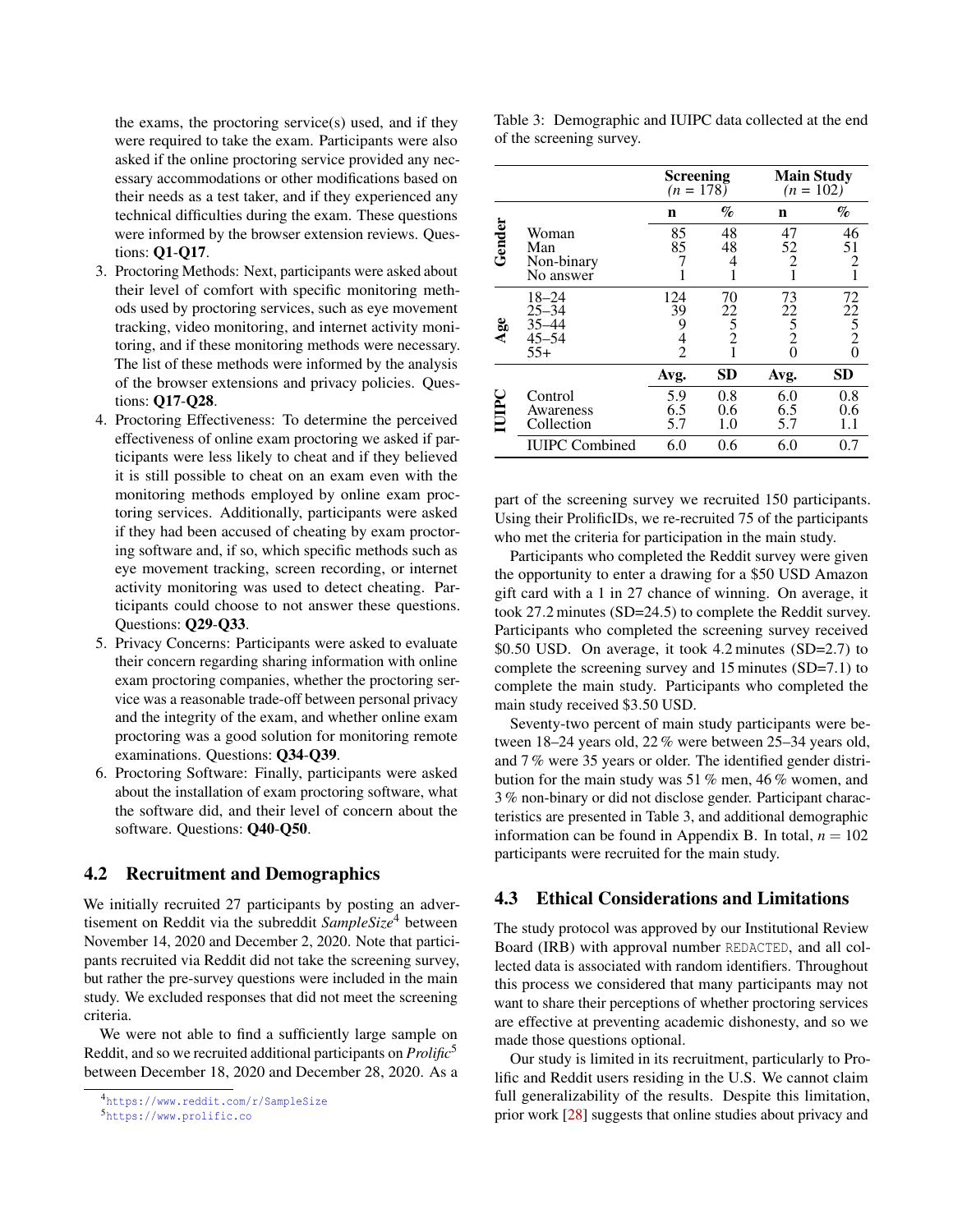the exams, the proctoring service(s) used, and if they were required to take the exam. Participants were also asked if the online proctoring service provided any necessary accommodations or other modifications based on their needs as a test taker, and if they experienced any technical difficulties during the exam. These questions were informed by the browser extension reviews. Questions: [Q1](#page-14-3)-[Q17](#page-15-0).

- 3. Proctoring Methods: Next, participants were asked about their level of comfort with specific monitoring methods used by proctoring services, such as eye movement tracking, video monitoring, and internet activity monitoring, and if these monitoring methods were necessary. The list of these methods were informed by the analysis of the browser extensions and privacy policies. Questions: [Q17](#page-15-0)-[Q28](#page-15-1).
- 4. Proctoring Effectiveness: To determine the perceived effectiveness of online exam proctoring we asked if participants were less likely to cheat and if they believed it is still possible to cheat on an exam even with the monitoring methods employed by online exam proctoring services. Additionally, participants were asked if they had been accused of cheating by exam proctoring software and, if so, which specific methods such as eye movement tracking, screen recording, or internet activity monitoring was used to detect cheating. Participants could choose to not answer these questions. Questions: [Q29](#page-15-2)-[Q33](#page-16-0).
- 5. Privacy Concerns: Participants were asked to evaluate their concern regarding sharing information with online exam proctoring companies, whether the proctoring service was a reasonable trade-off between personal privacy and the integrity of the exam, and whether online exam proctoring was a good solution for monitoring remote examinations. Questions: [Q34](#page-16-1)-[Q39](#page-16-2).
- 6. Proctoring Software: Finally, participants were asked about the installation of exam proctoring software, what the software did, and their level of concern about the software. Questions: [Q40](#page-16-3)-[Q50](#page-16-4).

## 4.2 Recruitment and Demographics

We initially recruited 27 participants by posting an advertisement on Reddit via the subreddit *SampleSize*[4](#page-4-0) between November 14, 2020 and December 2, 2020. Note that participants recruited via Reddit did not take the screening survey, but rather the pre-survey questions were included in the main study. We excluded responses that did not meet the screening criteria.

We were not able to find a sufficiently large sample on Reddit, and so we recruited additional participants on *Prolific*[5](#page-4-1) between December 18, 2020 and December 28, 2020. As a

<span id="page-4-2"></span>

| Table 3: Demographic and IUIPC data collected at the end |  |  |  |
|----------------------------------------------------------|--|--|--|
| of the screening survey.                                 |  |  |  |

|        |                                                           | <b>Screening</b><br>$(n = 178)$ |                                      | <b>Main Study</b><br>$(n = 102)$                          |                                                        |
|--------|-----------------------------------------------------------|---------------------------------|--------------------------------------|-----------------------------------------------------------|--------------------------------------------------------|
|        |                                                           | n                               | $\%$                                 | n                                                         | $\%$                                                   |
| Gender | Woman<br>Man<br>Non-binary<br>No answer                   | 85<br>85                        | 48<br>48<br>4                        | 47<br>52<br>$\overline{2}$<br>1                           | 46<br>$\frac{51}{2}$<br>$\mathbf{1}$                   |
| Age    | $18 - 24$<br>$25 - 34$<br>$35 - 44$<br>$45 - 54$<br>$55+$ | 124<br>39<br>9<br>$\frac{4}{2}$ | 70<br>22<br>$\overline{5}$<br>2<br>1 | 73<br>22<br>$\overline{5}$ <sub>2</sub><br>$\overline{0}$ | 72<br>$\begin{array}{c} 22 \\ 5 \\ 2 \\ 0 \end{array}$ |
|        |                                                           | Avg.                            | <b>SD</b>                            | Avg.                                                      | <b>SD</b>                                              |
| IUIPC  | Control<br>Awareness<br>Collection                        | 5.9<br>6.5<br>5.7               | 0.8<br>0.6<br>1.0                    | 6.0<br>6.5<br>5.7                                         | 0.8<br>0.6<br>1.1                                      |
|        | <b>IUIPC</b> Combined                                     | 6.0                             | 0.6                                  | 6.0                                                       | 0.7                                                    |

part of the screening survey we recruited 150 participants. Using their ProlificIDs, we re-recruited 75 of the participants who met the criteria for participation in the main study.

Participants who completed the Reddit survey were given the opportunity to enter a drawing for a \$50 USD Amazon gift card with a 1 in 27 chance of winning. On average, it took 27.2 minutes (SD=24.5) to complete the Reddit survey. Participants who completed the screening survey received \$0.50 USD. On average, it took 4.2 minutes (SD=2.7) to complete the screening survey and 15 minutes (SD=7.1) to complete the main study. Participants who completed the main study received \$3.50 USD.

Seventy-two percent of main study participants were between 18–24 years old, 22 % were between 25–34 years old, and 7 % were 35 years or older. The identified gender distribution for the main study was 51 % men, 46 % women, and 3 % non-binary or did not disclose gender. Participant characteristics are presented in Table [3,](#page-4-2) and additional demographic information can be found in Appendix [B.](#page-17-0) In total,  $n = 102$ participants were recruited for the main study.

## 4.3 Ethical Considerations and Limitations

The study protocol was approved by our Institutional Review Board (IRB) with approval number REDACTED, and all collected data is associated with random identifiers. Throughout this process we considered that many participants may not want to share their perceptions of whether proctoring services are effective at preventing academic dishonesty, and so we made those questions optional.

Our study is limited in its recruitment, particularly to Prolific and Reddit users residing in the U.S. We cannot claim full generalizability of the results. Despite this limitation, prior work [\[28\]](#page-13-7) suggests that online studies about privacy and

<span id="page-4-0"></span><sup>4</sup><https://www.reddit.com/r/SampleSize>

<span id="page-4-1"></span><sup>5</sup><https://www.prolific.co>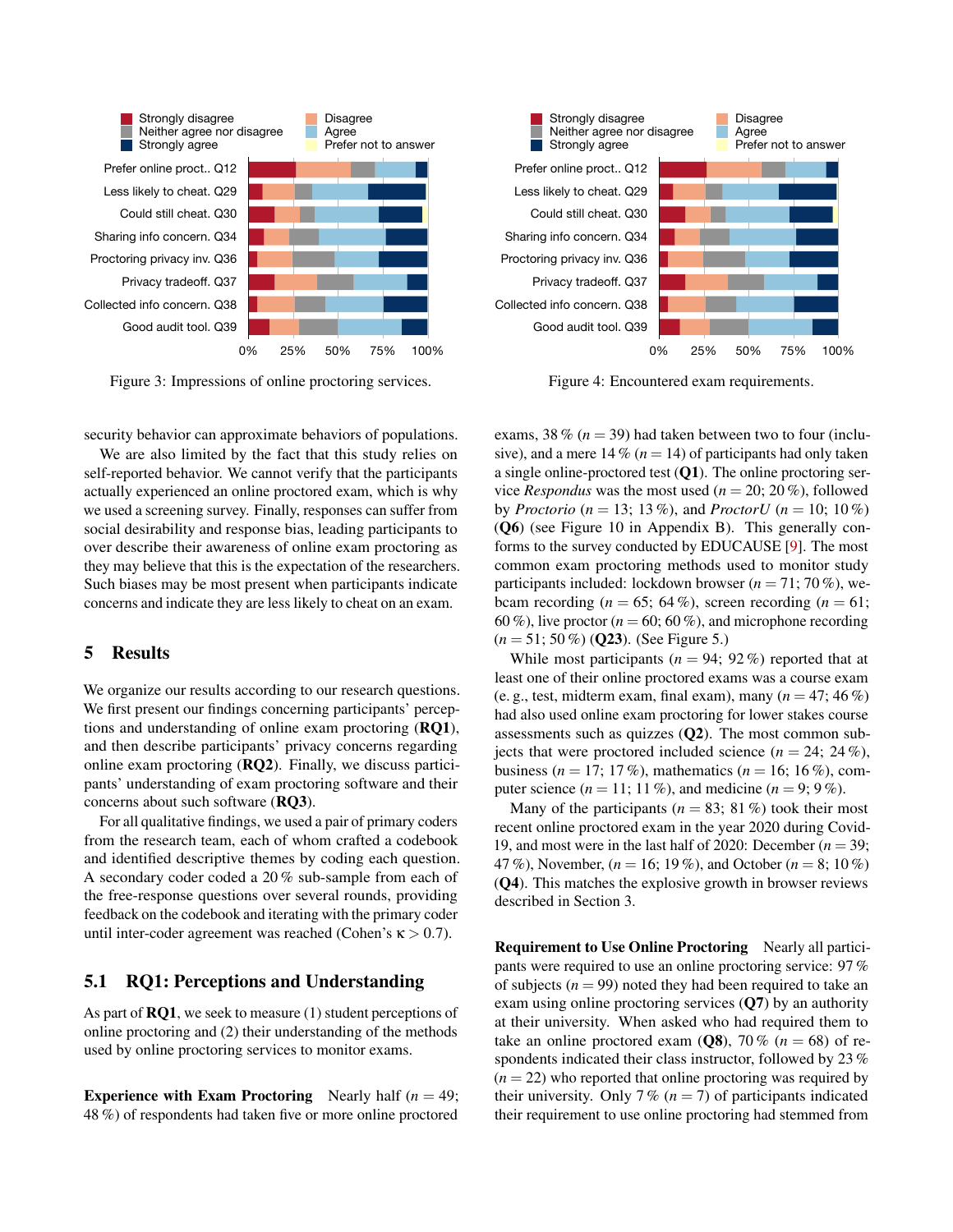<span id="page-5-1"></span>

Figure 3: Impressions of online proctoring services.

security behavior can approximate behaviors of populations.

. Q37<br>
. Q37<br>
. Q38<br>
. Q38<br>
ssion nappted b<br>
. Q39<br>
ssion nappted b<br>
or. W<br>
lan o surve<br>
aware this moss<br>
et this moss<br>
the the the life the life diffinding<br>
artic g of thinding<br>
artic code<br>
uestic<br>
seek t d (2)<br>
toring<br>
s We are also limited by the fact that this study relies on self-reported behavior. We cannot verify that the participants actually experienced an online proctored exam, which is why we used a screening survey. Finally, responses can suffer from social desirability and response bias, leading participants to over describe their awareness of online exam proctoring as they may believe that this is the expectation of the researchers. Such biases may be most present when participants indicate concerns and indicate they are less likely to cheat on an exam.

#### <span id="page-5-0"></span>5 Results

We organize our results according to our research questions. We first present our findings concerning participants' perceptions and understanding of online exam proctoring ([RQ1](#page-0-1)), and then describe participants' privacy concerns regarding online exam proctoring ([RQ2](#page-0-2)). Finally, we discuss participants' understanding of exam proctoring software and their concerns about such software ([RQ3](#page-0-3)).

For all qualitative findings, we used a pair of primary coders from the research team, each of whom crafted a codebook and identified descriptive themes by coding each question. A secondary coder coded a 20 % sub-sample from each of the free-response questions over several rounds, providing feedback on the codebook and iterating with the primary coder until inter-coder agreement was reached (Cohen's  $\kappa > 0.7$ ).

### 5.1 RQ1: Perceptions and Understanding

As part of  $RQ1$ , we seek to measure (1) student perceptions of online proctoring and (2) their understanding of the methods used by online proctoring services to monitor exams.

**Experience with Exam Proctoring** Nearly half  $(n = 49)$ ; 48 %) of respondents had taken five or more online proctored



Figure 4: Encountered exam requirements.

exams, 38  $\%$  ( $n = 39$ ) had taken between two to four (inclusive), and a mere  $14\%$  ( $n = 14$ ) of participants had only taken a single online-proctored test  $(Q1)$  $(Q1)$  $(Q1)$ . The online proctoring service *Respondus* was the most used ( $n = 20$ ; 20%), followed by *Proctorio* ( $n = 13$ ; 13%), and *ProctorU* ( $n = 10$ ; 10%) ([Q6](#page-14-0)) (see Figure [10](#page-17-1) in Appendix [B\)](#page-17-0). This generally conforms to the survey conducted by EDUCAUSE [\[9\]](#page-12-3). The most common exam proctoring methods used to monitor study participants included: lockdown browser ( $n = 71$ ; 70 %), webcam recording  $(n = 65; 64\%)$ , screen recording  $(n = 61;$ 60 %), live proctor ( $n = 60$ ; 60 %), and microphone recording  $(n = 51; 50\%)$  ([Q23](#page-15-3)). (See Figure [5.](#page-6-0))

While most participants  $(n = 94; 92\%)$  reported that at least one of their online proctored exams was a course exam (e. g., test, midterm exam, final exam), many  $(n = 47; 46\%)$ had also used online exam proctoring for lower stakes course assessments such as quizzes  $(Q2)$  $(Q2)$  $(Q2)$ . The most common subjects that were proctored included science  $(n = 24; 24\%)$ , business ( $n = 17$ ; 17 %), mathematics ( $n = 16$ ; 16 %), computer science  $(n = 11; 11\%)$ , and medicine  $(n = 9; 9\%)$ .

Many of the participants ( $n = 83$ ; 81 %) took their most recent online proctored exam in the year 2020 during Covid-19, and most were in the last half of 2020: December  $(n = 39)$ ; 47 %), November, (*n* = 16; 19 %), and October (*n* = 8; 10 %) ([Q4](#page-14-5)). This matches the explosive growth in browser reviews described in Section [3.](#page-2-3)

Requirement to Use Online Proctoring Nearly all participants were required to use an online proctoring service: 97 % of subjects  $(n = 99)$  noted they had been required to take an exam using online proctoring services ([Q7](#page-14-6)) by an authority at their university. When asked who had required them to take an online proctored exam  $(Q8)$  $(Q8)$  $(Q8)$ , 70 % ( $n = 68$ ) of respondents indicated their class instructor, followed by 23 %  $(n = 22)$  who reported that online proctoring was required by their university. Only 7 %  $(n = 7)$  of participants indicated their requirement to use online proctoring had stemmed from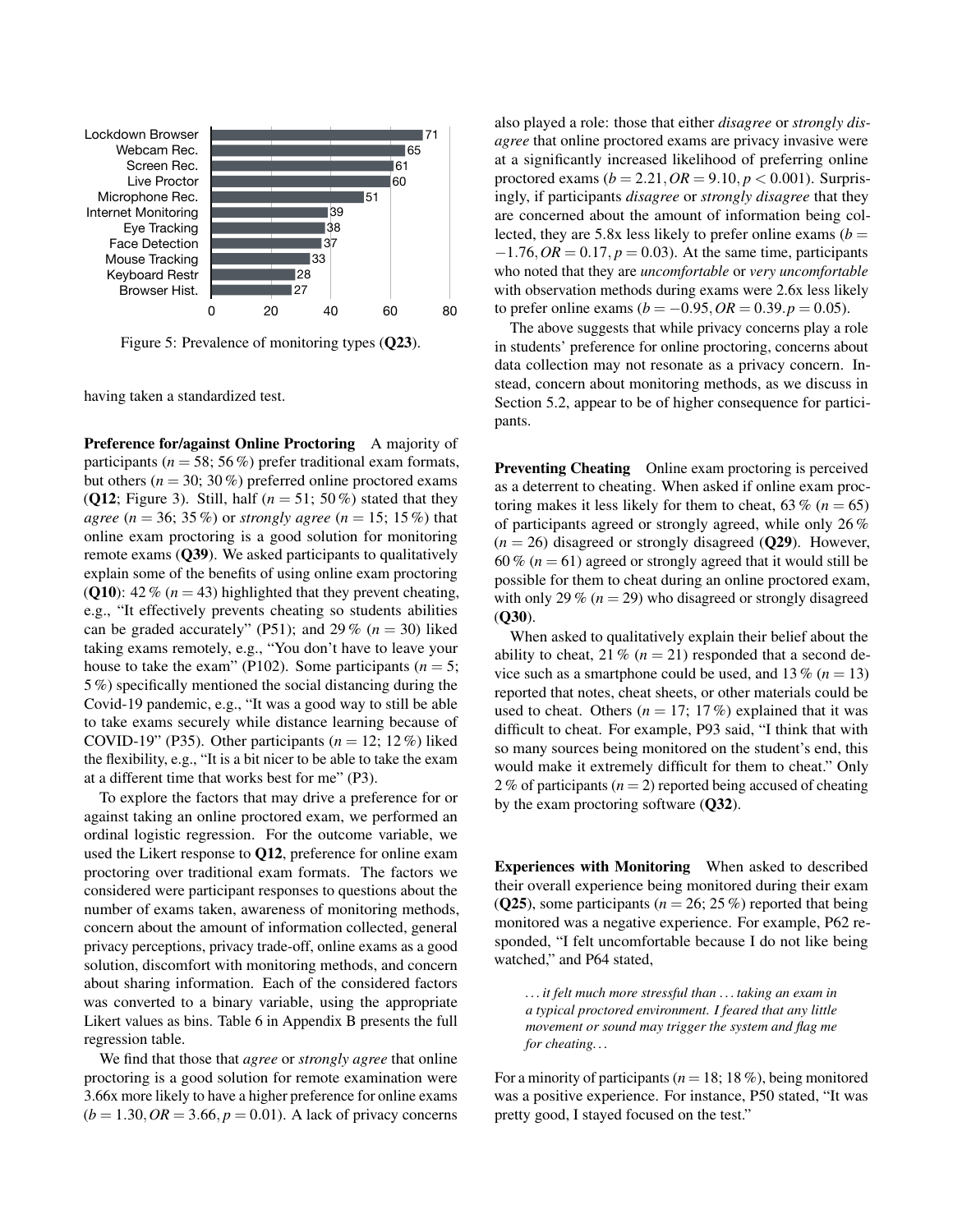<span id="page-6-0"></span>

Figure 5: Prevalence of monitoring types ([Q23](#page-15-3)).

having taken a standardized test.

Preference for/against Online Proctoring A majority of participants ( $n = 58$ ; 56 %) prefer traditional exam formats, but others ( $n = 30$ ; 30%) preferred online proctored exams ([Q12](#page-14-8); Figure [3\)](#page-5-1). Still, half  $(n = 51; 50\%)$  stated that they *agree*  $(n = 36; 35\%)$  or *strongly agree*  $(n = 15; 15\%)$  that online exam proctoring is a good solution for monitoring remote exams ([Q39](#page-16-2)). We asked participants to qualitatively explain some of the benefits of using online exam proctoring ([Q10](#page-14-9)):  $42\%$  ( $n = 43$ ) highlighted that they prevent cheating, e.g., "It effectively prevents cheating so students abilities can be graded accurately" (P51); and 29 %  $(n = 30)$  liked taking exams remotely, e.g., "You don't have to leave your house to take the exam" (P102). Some participants ( $n = 5$ ; 5 %) specifically mentioned the social distancing during the Covid-19 pandemic, e.g., "It was a good way to still be able to take exams securely while distance learning because of COVID-19" (P35). Other participants  $(n = 12; 12\%)$  liked the flexibility, e.g., "It is a bit nicer to be able to take the exam at a different time that works best for me" (P3).

To explore the factors that may drive a preference for or against taking an online proctored exam, we performed an ordinal logistic regression. For the outcome variable, we used the Likert response to [Q12](#page-14-8), preference for online exam proctoring over traditional exam formats. The factors we considered were participant responses to questions about the number of exams taken, awareness of monitoring methods, concern about the amount of information collected, general privacy perceptions, privacy trade-off, online exams as a good solution, discomfort with monitoring methods, and concern about sharing information. Each of the considered factors was converted to a binary variable, using the appropriate Likert values as bins. Table [6](#page-18-0) in Appendix [B](#page-17-0) presents the full regression table.

We find that those that *agree* or *strongly agree* that online proctoring is a good solution for remote examination were 3.66x more likely to have a higher preference for online exams  $(b = 1.30, OR = 3.66, p = 0.01)$ . A lack of privacy concerns

also played a role: those that either *disagree* or *strongly disagree* that online proctored exams are privacy invasive were at a significantly increased likelihood of preferring online proctored exams  $(b = 2.21, OR = 9.10, p < 0.001)$ . Surprisingly, if participants *disagree* or *strongly disagree* that they are concerned about the amount of information being collected, they are 5.8x less likely to prefer online exams  $(b =$  $-1.76$ ,  $OR = 0.17$ ,  $p = 0.03$ ). At the same time, participants who noted that they are *uncomfortable* or *very uncomfortable* with observation methods during exams were 2.6x less likely to prefer online exams (*b* =  $-0.95$ , *OR* = 0.39.*p* = 0.05).

The above suggests that while privacy concerns play a role in students' preference for online proctoring, concerns about data collection may not resonate as a privacy concern. Instead, concern about monitoring methods, as we discuss in Section [5.2,](#page-7-0) appear to be of higher consequence for participants.

Preventing Cheating Online exam proctoring is perceived as a deterrent to cheating. When asked if online exam proctoring makes it less likely for them to cheat,  $63\%$  ( $n = 65$ ) of participants agreed or strongly agreed, while only 26 %  $(n = 26)$  disagreed or strongly disagreed ( $Q29$ ). However, 60 %  $(n = 61)$  agreed or strongly agreed that it would still be possible for them to cheat during an online proctored exam, with only 29 %  $(n = 29)$  who disagreed or strongly disagreed ([Q30](#page-15-4)).

When asked to qualitatively explain their belief about the ability to cheat, 21 %  $(n = 21)$  responded that a second device such as a smartphone could be used, and  $13\%$  ( $n = 13$ ) reported that notes, cheat sheets, or other materials could be used to cheat. Others  $(n = 17; 17\%)$  explained that it was difficult to cheat. For example, P93 said, "I think that with so many sources being monitored on the student's end, this would make it extremely difficult for them to cheat." Only 2% of participants  $(n = 2)$  reported being accused of cheating by the exam proctoring software ([Q32](#page-15-5)).

Experiences with Monitoring When asked to described their overall experience being monitored during their exam ([Q25](#page-15-6)), some participants ( $n = 26$ ; 25 %) reported that being monitored was a negative experience. For example, P62 responded, "I felt uncomfortable because I do not like being watched," and P64 stated,

*. . . it felt much more stressful than . . . taking an exam in a typical proctored environment. I feared that any little movement or sound may trigger the system and flag me for cheating. . .*

For a minority of participants ( $n = 18$ ; 18 %), being monitored was a positive experience. For instance, P50 stated, "It was pretty good, I stayed focused on the test."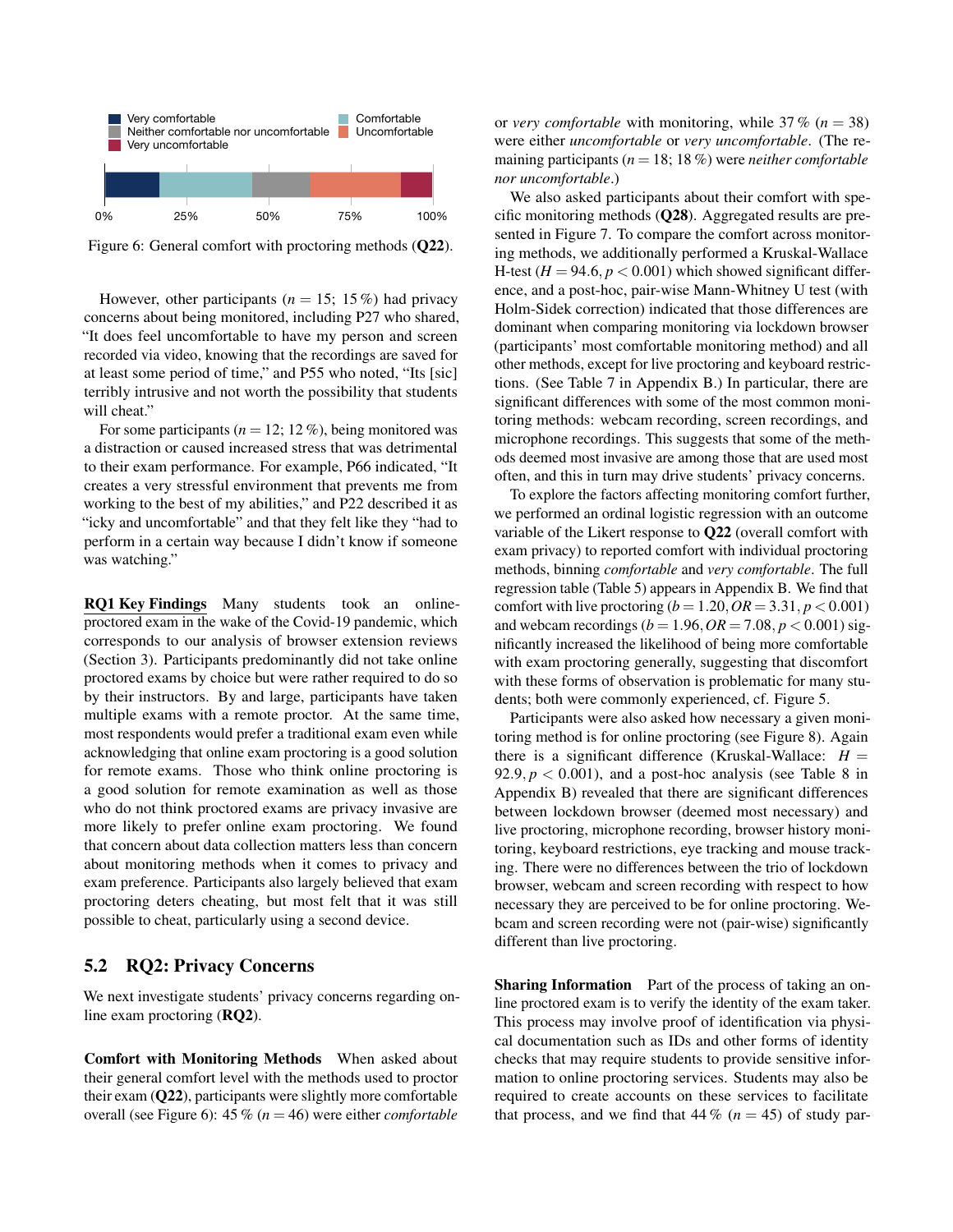<span id="page-7-1"></span>

Figure 6: General comfort with proctoring methods ([Q22](#page-15-7)).

However, other participants ( $n = 15$ ; 15 %) had privacy concerns about being monitored, including P27 who shared, "It does feel uncomfortable to have my person and screen recorded via video, knowing that the recordings are saved for at least some period of time," and P55 who noted, "Its [sic] terribly intrusive and not worth the possibility that students will cheat."

For some participants  $(n = 12; 12\%)$ , being monitored was a distraction or caused increased stress that was detrimental to their exam performance. For example, P66 indicated, "It creates a very stressful environment that prevents me from working to the best of my abilities," and P22 described it as "icky and uncomfortable" and that they felt like they "had to perform in a certain way because I didn't know if someone was watching."

by their instructors. By and large, participants have taken<br>workinks aroung with a numero number. At the same times RQ1 Key Findings Many students took an onlineproctored exam in the wake of the Covid-19 pandemic, which corresponds to our analysis of browser extension reviews (Section [3\)](#page-2-3). Participants predominantly did not take online proctored exams by choice but were rather required to do so multiple exams with a remote proctor. At the same time, most respondents would prefer a traditional exam even while acknowledging that online exam proctoring is a good solution for remote exams. Those who think online proctoring is a good solution for remote examination as well as those who do not think proctored exams are privacy invasive are more likely to prefer online exam proctoring. We found that concern about data collection matters less than concern about monitoring methods when it comes to privacy and exam preference. Participants also largely believed that exam proctoring deters cheating, but most felt that it was still possible to cheat, particularly using a second device.

## <span id="page-7-0"></span>5.2 RQ2: Privacy Concerns

We next investigate students' privacy concerns regarding online exam proctoring ([RQ2](#page-0-2)).

Comfort with Monitoring Methods When asked about their general comfort level with the methods used to proctor their exam ([Q22](#page-15-7)), participants were slightly more comfortable overall (see Figure [6\)](#page-7-1): 45 % (*n* = 46) were either *comfortable*

or *very comfortable* with monitoring, while  $37\%$  ( $n = 38$ ) were either *uncomfortable* or *very uncomfortable*. (The remaining participants ( $n = 18$ ; 18 %) were *neither comfortable nor uncomfortable*.)

We also asked participants about their comfort with specific monitoring methods ([Q28](#page-15-1)). Aggregated results are presented in Figure [7.](#page-8-0) To compare the comfort across monitoring methods, we additionally performed a Kruskal-Wallace H-test  $(H = 94.6, p < 0.001)$  which showed significant difference, and a post-hoc, pair-wise Mann-Whitney U test (with Holm-Sidek correction) indicated that those differences are dominant when comparing monitoring via lockdown browser (participants' most comfortable monitoring method) and all other methods, except for live proctoring and keyboard restrictions. (See Table [7](#page-19-0) in Appendix [B.](#page-17-0)) In particular, there are significant differences with some of the most common monitoring methods: webcam recording, screen recordings, and microphone recordings. This suggests that some of the methods deemed most invasive are among those that are used most often, and this in turn may drive students' privacy concerns.

To explore the factors affecting monitoring comfort further, we performed an ordinal logistic regression with an outcome variable of the Likert response to [Q22](#page-15-7) (overall comfort with exam privacy) to reported comfort with individual proctoring methods, binning *comfortable* and *very comfortable*. The full regression table (Table [5\)](#page-18-1) appears in Appendix [B.](#page-17-0) We find that comfort with live proctoring  $(b = 1.20, OR = 3.31, p < 0.001)$ and webcam recordings ( $b = 1.96$ ,  $OR = 7.08$ ,  $p < 0.001$ ) significantly increased the likelihood of being more comfortable with exam proctoring generally, suggesting that discomfort with these forms of observation is problematic for many students; both were commonly experienced, cf. Figure [5.](#page-6-0)

Participants were also asked how necessary a given monitoring method is for online proctoring (see Figure [8\)](#page-8-0). Again there is a significant difference (Kruskal-Wallace:  $H =$  $92.9, p < 0.001$ ), and a post-hoc analysis (see Table [8](#page-19-1) in Appendix [B\)](#page-17-0) revealed that there are significant differences between lockdown browser (deemed most necessary) and live proctoring, microphone recording, browser history monitoring, keyboard restrictions, eye tracking and mouse tracking. There were no differences between the trio of lockdown browser, webcam and screen recording with respect to how necessary they are perceived to be for online proctoring. Webcam and screen recording were not (pair-wise) significantly different than live proctoring.

Sharing Information Part of the process of taking an online proctored exam is to verify the identity of the exam taker. This process may involve proof of identification via physical documentation such as IDs and other forms of identity checks that may require students to provide sensitive information to online proctoring services. Students may also be required to create accounts on these services to facilitate that process, and we find that  $44\%$  ( $n = 45$ ) of study par-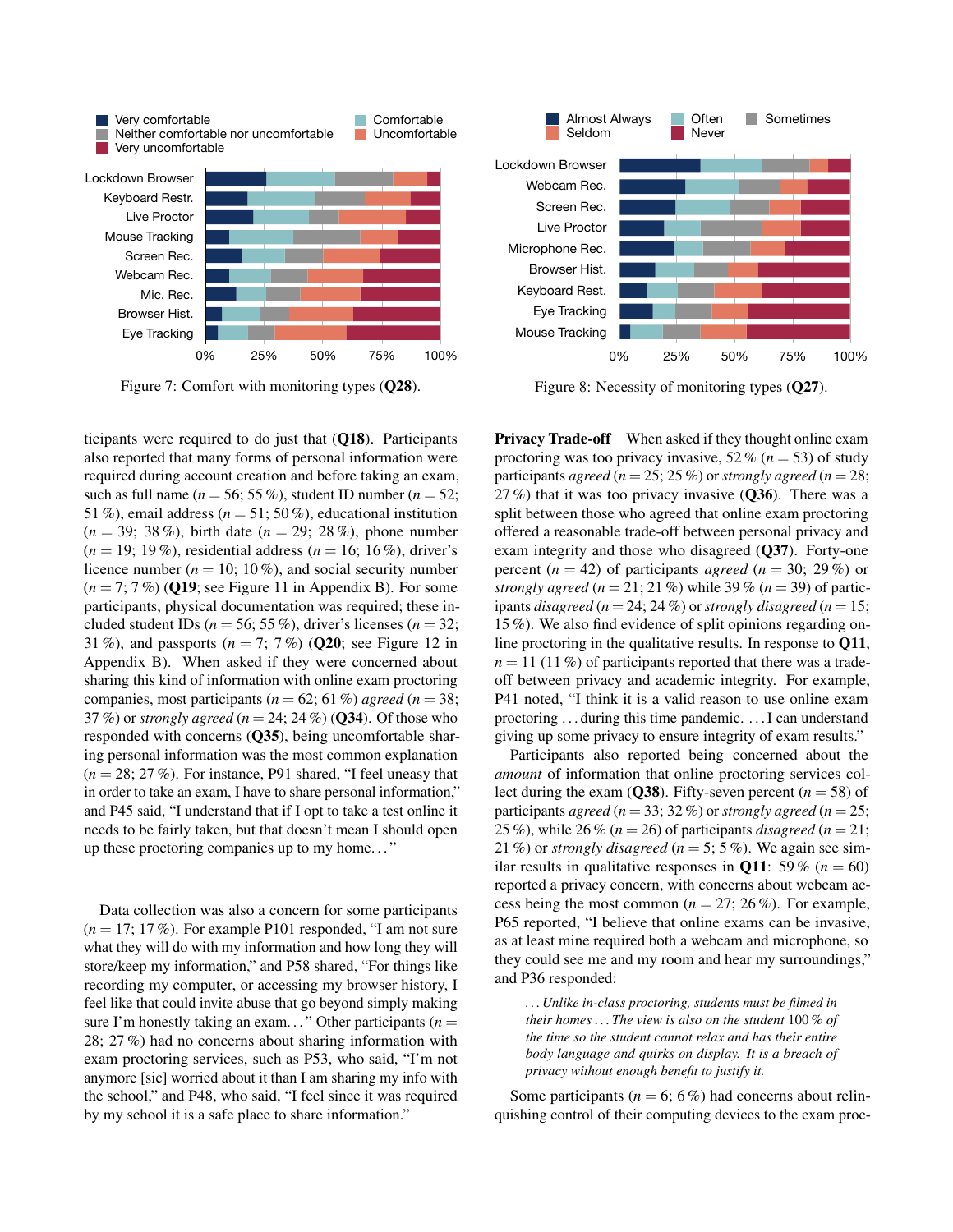<span id="page-8-0"></span>

Figure 7: Comfort with monitoring types ([Q28](#page-15-1)).

sharing this kind of information with online exam proctoring ticipants were required to do just that ([Q18](#page-15-9)). Participants also reported that many forms of personal information were required during account creation and before taking an exam, such as full name ( $n = 56$ ; 55 %), student ID number ( $n = 52$ ; 51 %), email address ( $n = 51$ ; 50 %), educational institution (*n* = 39; 38 %), birth date (*n* = 29; 28 %), phone number (*n* = 19; 19 %), residential address (*n* = 16; 16 %), driver's licence number ( $n = 10$ ; 10%), and social security number (*n* = 7; 7 %) ([Q19](#page-15-10); see Figure [11](#page-17-2) in Appendix [B\)](#page-17-0). For some participants, physical documentation was required; these included student IDs ( $n = 56$ ; 55 %), driver's licenses ( $n = 32$ ; 31 %), and passports  $(n = 7, 7\%)$  ([Q20](#page-15-11); see Figure [12](#page-17-3) in Appendix [B\)](#page-17-0). When asked if they were concerned about companies, most participants ( $n = 62$ ; 61 %) *agreed* ( $n = 38$ ; 37 %) or *strongly agreed* (*n* = 24; 24 %) ([Q34](#page-16-1)). Of those who responded with concerns ([Q35](#page-16-5)), being uncomfortable sharing personal information was the most common explanation  $(n = 28; 27\%)$ . For instance, P91 shared, "I feel uneasy that in order to take an exam, I have to share personal information," and P45 said, "I understand that if I opt to take a test online it needs to be fairly taken, but that doesn't mean I should open up these proctoring companies up to my home. . . "

Data collection was also a concern for some participants (*n* = 17; 17 %). For example P101 responded, "I am not sure what they will do with my information and how long they will store/keep my information," and P58 shared, "For things like recording my computer, or accessing my browser history, I feel like that could invite abuse that go beyond simply making sure I'm honestly taking an exam..." Other participants  $(n =$ 28; 27 %) had no concerns about sharing information with exam proctoring services, such as P53, who said, "I'm not anymore [sic] worried about it than I am sharing my info with the school," and P48, who said, "I feel since it was required by my school it is a safe place to share information."



Figure 8: Necessity of monitoring types ([Q27](#page-15-8)).

**Privacy Trade-off** When asked if they thought online exam proctoring was too privacy invasive,  $52\%$  ( $n = 53$ ) of study participants *agreed* ( $n = 25$ ; 25 %) or *strongly agreed* ( $n = 28$ ; 27 %) that it was too privacy invasive  $(Q36)$  $(Q36)$  $(Q36)$ . There was a split between those who agreed that online exam proctoring offered a reasonable trade-off between personal privacy and exam integrity and those who disagreed ([Q37](#page-16-7)). Forty-one percent  $(n = 42)$  of participants *agreed*  $(n = 30; 29\%)$  or *strongly agreed*  $(n = 21; 21\%)$  while 39%  $(n = 39)$  of participants *disagreed*  $(n = 24; 24\%)$  or *strongly disagreed*  $(n = 15;$ 15 %). We also find evidence of split opinions regarding online proctoring in the qualitative results. In response to [Q11](#page-14-10),  $n = 11$  (11%) of participants reported that there was a tradeoff between privacy and academic integrity. For example, P41 noted, "I think it is a valid reason to use online exam proctoring . . . during this time pandemic. . . . I can understand giving up some privacy to ensure integrity of exam results."

Participants also reported being concerned about the *amount* of information that online proctoring services col-lect during the exam ([Q38](#page-16-8)). Fifty-seven percent  $(n = 58)$  of participants *agreed* ( $n = 33$ ; 32 %) or *strongly agreed* ( $n = 25$ ; 25 %), while 26 %  $(n = 26)$  of participants *disagreed*  $(n = 21)$ ; 21 %) or *strongly disagreed* ( $n = 5$ ; 5 %). We again see similar results in qualitative responses in **[Q11](#page-14-10)**: 59 % ( $n = 60$ ) reported a privacy concern, with concerns about webcam access being the most common  $(n = 27, 26\%)$ . For example, P65 reported, "I believe that online exams can be invasive, as at least mine required both a webcam and microphone, so they could see me and my room and hear my surroundings," and P36 responded:

*. . . Unlike in-class proctoring, students must be filmed in their homes . . . The view is also on the student* 100 % *of the time so the student cannot relax and has their entire body language and quirks on display. It is a breach of privacy without enough benefit to justify it.*

Some participants ( $n = 6$ ; 6%) had concerns about relinquishing control of their computing devices to the exam proc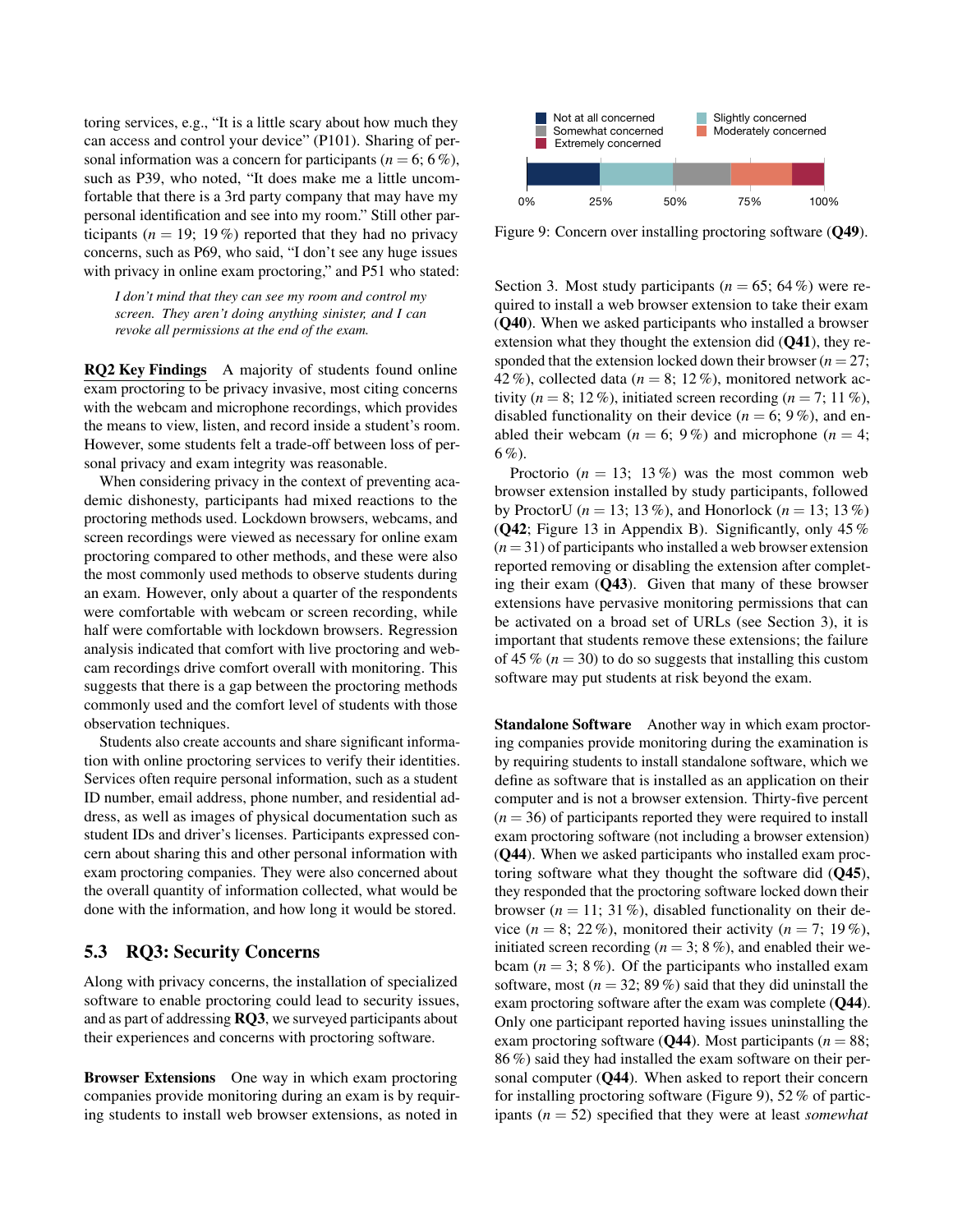toring services, e.g., "It is a little scary about how much they can access and control your device" (P101). Sharing of personal information was a concern for participants ( $n = 6$ ; 6%), such as P39, who noted, "It does make me a little uncomfortable that there is a 3rd party company that may have my personal identification and see into my room." Still other participants ( $n = 19$ ; 19%) reported that they had no privacy concerns, such as P69, who said, "I don't see any huge issues with privacy in online exam proctoring," and P51 who stated:

*I don't mind that they can see my room and control my screen. They aren't doing anything sinister, and I can revoke all permissions at the end of the exam.*

RQ2 Key Findings A majority of students found online exam proctoring to be privacy invasive, most citing concerns with the webcam and microphone recordings, which provides the means to view, listen, and record inside a student's room. However, some students felt a trade-off between loss of personal privacy and exam integrity was reasonable.

When considering privacy in the context of preventing academic dishonesty, participants had mixed reactions to the proctoring methods used. Lockdown browsers, webcams, and screen recordings were viewed as necessary for online exam proctoring compared to other methods, and these were also the most commonly used methods to observe students during an exam. However, only about a quarter of the respondents were comfortable with webcam or screen recording, while half were comfortable with lockdown browsers. Regression analysis indicated that comfort with live proctoring and webcam recordings drive comfort overall with monitoring. This suggests that there is a gap between the proctoring methods commonly used and the comfort level of students with those observation techniques.

Students also create accounts and share significant information with online proctoring services to verify their identities. Services often require personal information, such as a student ID number, email address, phone number, and residential address, as well as images of physical documentation such as student IDs and driver's licenses. Participants expressed concern about sharing this and other personal information with exam proctoring companies. They were also concerned about the overall quantity of information collected, what would be done with the information, and how long it would be stored.

## 5.3 RQ3: Security Concerns

Along with privacy concerns, the installation of specialized software to enable proctoring could lead to security issues, and as part of addressing [RQ3](#page-0-3), we surveyed participants about their experiences and concerns with proctoring software.

Browser Extensions One way in which exam proctoring companies provide monitoring during an exam is by requiring students to install web browser extensions, as noted in

<span id="page-9-0"></span>

Figure 9: Concern over installing proctoring software ([Q49](#page-16-9)).

Section [3.](#page-2-3) Most study participants ( $n = 65$ ; 64%) were required to install a web browser extension to take their exam ([Q40](#page-16-3)). When we asked participants who installed a browser extension what they thought the extension did ([Q41](#page-16-10)), they responded that the extension locked down their browser  $(n = 27)$ ; 42 %), collected data ( $n = 8$ ; 12 %), monitored network activity ( $n = 8$ ; 12 %), initiated screen recording ( $n = 7$ ; 11 %), disabled functionality on their device  $(n = 6, 9\%)$ , and enabled their webcam  $(n = 6; 9\%)$  and microphone  $(n = 4;$ 6 %).

Proctorio  $(n = 13; 13\%)$  was the most common web browser extension installed by study participants, followed by ProctorU ( $n = 13$ ; 13%), and Honorlock ( $n = 13$ ; 13%) ( $Q42$ ; Figure [13](#page-17-4) in Appendix [B\)](#page-17-0). Significantly, only 45 %  $(n=31)$  of participants who installed a web browser extension reported removing or disabling the extension after completing their exam ([Q43](#page-16-12)). Given that many of these browser extensions have pervasive monitoring permissions that can be activated on a broad set of URLs (see Section [3\)](#page-2-3), it is important that students remove these extensions; the failure of 45 %  $(n = 30)$  to do so suggests that installing this custom software may put students at risk beyond the exam.

Standalone Software Another way in which exam proctoring companies provide monitoring during the examination is by requiring students to install standalone software, which we define as software that is installed as an application on their computer and is not a browser extension. Thirty-five percent  $(n = 36)$  of participants reported they were required to install exam proctoring software (not including a browser extension) ([Q44](#page-16-13)). When we asked participants who installed exam proctoring software what they thought the software did ([Q45](#page-16-14)), they responded that the proctoring software locked down their browser  $(n = 11; 31\%)$ , disabled functionality on their device  $(n = 8; 22\%)$ , monitored their activity  $(n = 7; 19\%)$ , initiated screen recording ( $n = 3$ ; 8%), and enabled their webcam  $(n = 3; 8\%)$ . Of the participants who installed exam software, most  $(n = 32; 89\%)$  said that they did uninstall the exam proctoring software after the exam was complete ([Q44](#page-16-13)). Only one participant reported having issues uninstalling the exam proctoring software  $(Q44)$  $(Q44)$  $(Q44)$ . Most participants ( $n = 88$ ; 86 %) said they had installed the exam software on their per-sonal computer ([Q44](#page-16-13)). When asked to report their concern for installing proctoring software (Figure [9\)](#page-9-0), 52 % of participants (*n* = 52) specified that they were at least *somewhat*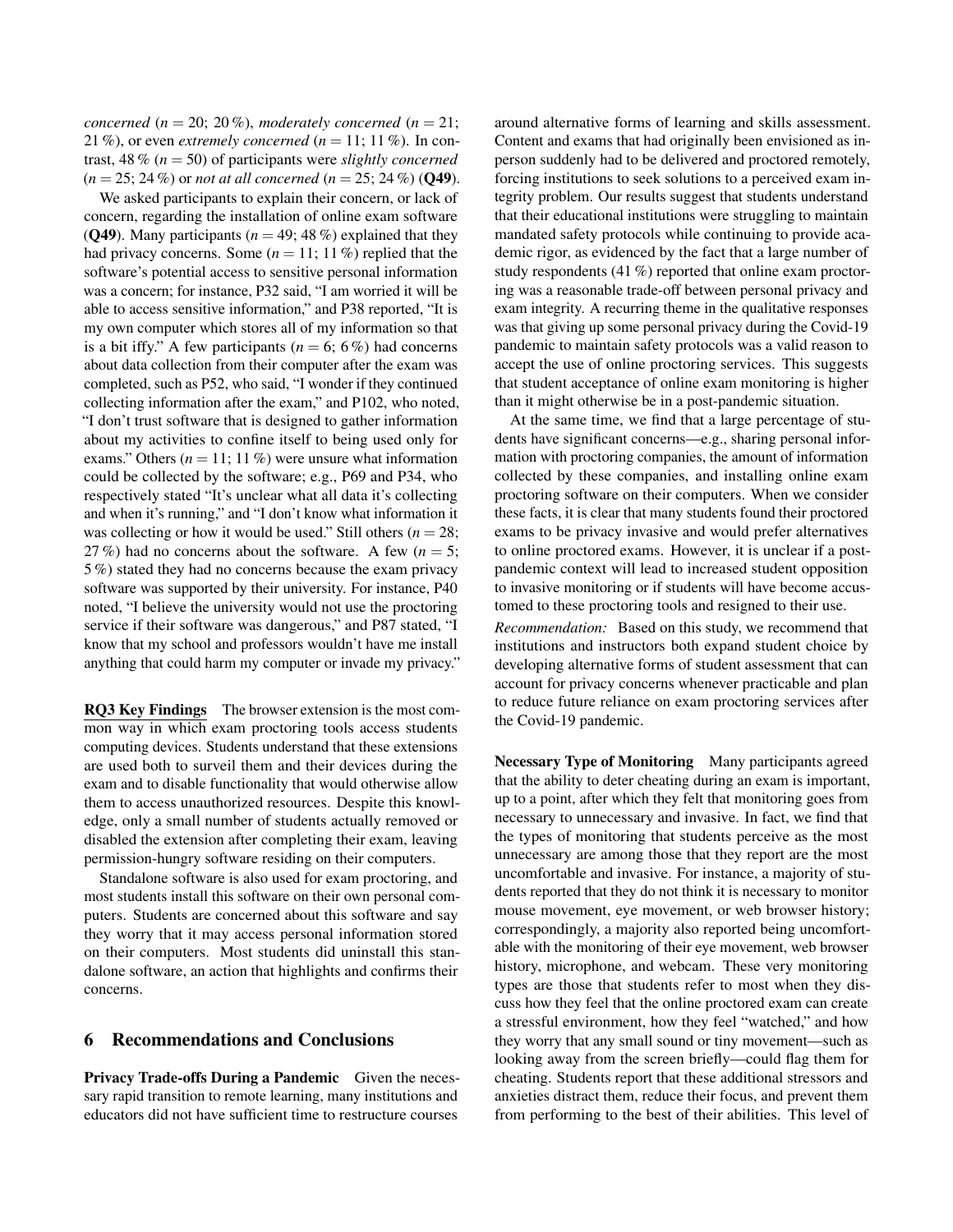*concerned* ( $n = 20$ ; 20%), *moderately concerned* ( $n = 21$ ; 21 %), or even *extremely concerned* (*n* = 11; 11 %). In contrast, 48 % (*n* = 50) of participants were *slightly concerned* (*n* = 25; 24 %) or *not at all concerned* (*n* = 25; 24 %) ([Q49](#page-16-9)).

We asked participants to explain their concern, or lack of concern, regarding the installation of online exam software (**[Q49](#page-16-9)**). Many participants ( $n = 49$ ; 48 %) explained that they had privacy concerns. Some  $(n = 11; 11\%)$  replied that the software's potential access to sensitive personal information was a concern; for instance, P32 said, "I am worried it will be able to access sensitive information," and P38 reported, "It is my own computer which stores all of my information so that is a bit iffy." A few participants ( $n = 6$ ; 6%) had concerns about data collection from their computer after the exam was completed, such as P52, who said, "I wonder if they continued collecting information after the exam," and P102, who noted, "I don't trust software that is designed to gather information about my activities to confine itself to being used only for exams." Others  $(n = 11; 11\%)$  were unsure what information could be collected by the software; e.g., P69 and P34, who respectively stated "It's unclear what all data it's collecting and when it's running," and "I don't know what information it was collecting or how it would be used." Still others ( $n = 28$ ; 27 %) had no concerns about the software. A few  $(n = 5)$ ; 5 %) stated they had no concerns because the exam privacy software was supported by their university. For instance, P40 noted, "I believe the university would not use the proctoring service if their software was dangerous," and P87 stated, "I know that my school and professors wouldn't have me install anything that could harm my computer or invade my privacy."

RQ3 Key Findings The browser extension is the most common way in which exam proctoring tools access students computing devices. Students understand that these extensions are used both to surveil them and their devices during the exam and to disable functionality that would otherwise allow them to access unauthorized resources. Despite this knowledge, only a small number of students actually removed or disabled the extension after completing their exam, leaving permission-hungry software residing on their computers.

Standalone software is also used for exam proctoring, and most students install this software on their own personal computers. Students are concerned about this software and say they worry that it may access personal information stored on their computers. Most students did uninstall this standalone software, an action that highlights and confirms their concerns.

## 6 Recommendations and Conclusions

Privacy Trade-offs During a Pandemic Given the necessary rapid transition to remote learning, many institutions and educators did not have sufficient time to restructure courses

around alternative forms of learning and skills assessment. Content and exams that had originally been envisioned as inperson suddenly had to be delivered and proctored remotely, forcing institutions to seek solutions to a perceived exam integrity problem. Our results suggest that students understand that their educational institutions were struggling to maintain mandated safety protocols while continuing to provide academic rigor, as evidenced by the fact that a large number of study respondents (41 %) reported that online exam proctoring was a reasonable trade-off between personal privacy and exam integrity. A recurring theme in the qualitative responses was that giving up some personal privacy during the Covid-19 pandemic to maintain safety protocols was a valid reason to accept the use of online proctoring services. This suggests that student acceptance of online exam monitoring is higher than it might otherwise be in a post-pandemic situation.

At the same time, we find that a large percentage of students have significant concerns—e.g., sharing personal information with proctoring companies, the amount of information collected by these companies, and installing online exam proctoring software on their computers. When we consider these facts, it is clear that many students found their proctored exams to be privacy invasive and would prefer alternatives to online proctored exams. However, it is unclear if a postpandemic context will lead to increased student opposition to invasive monitoring or if students will have become accustomed to these proctoring tools and resigned to their use.

*Recommendation:* Based on this study, we recommend that institutions and instructors both expand student choice by developing alternative forms of student assessment that can account for privacy concerns whenever practicable and plan to reduce future reliance on exam proctoring services after the Covid-19 pandemic.

Necessary Type of Monitoring Many participants agreed that the ability to deter cheating during an exam is important, up to a point, after which they felt that monitoring goes from necessary to unnecessary and invasive. In fact, we find that the types of monitoring that students perceive as the most unnecessary are among those that they report are the most uncomfortable and invasive. For instance, a majority of students reported that they do not think it is necessary to monitor mouse movement, eye movement, or web browser history; correspondingly, a majority also reported being uncomfortable with the monitoring of their eye movement, web browser history, microphone, and webcam. These very monitoring types are those that students refer to most when they discuss how they feel that the online proctored exam can create a stressful environment, how they feel "watched," and how they worry that any small sound or tiny movement—such as looking away from the screen briefly—could flag them for cheating. Students report that these additional stressors and anxieties distract them, reduce their focus, and prevent them from performing to the best of their abilities. This level of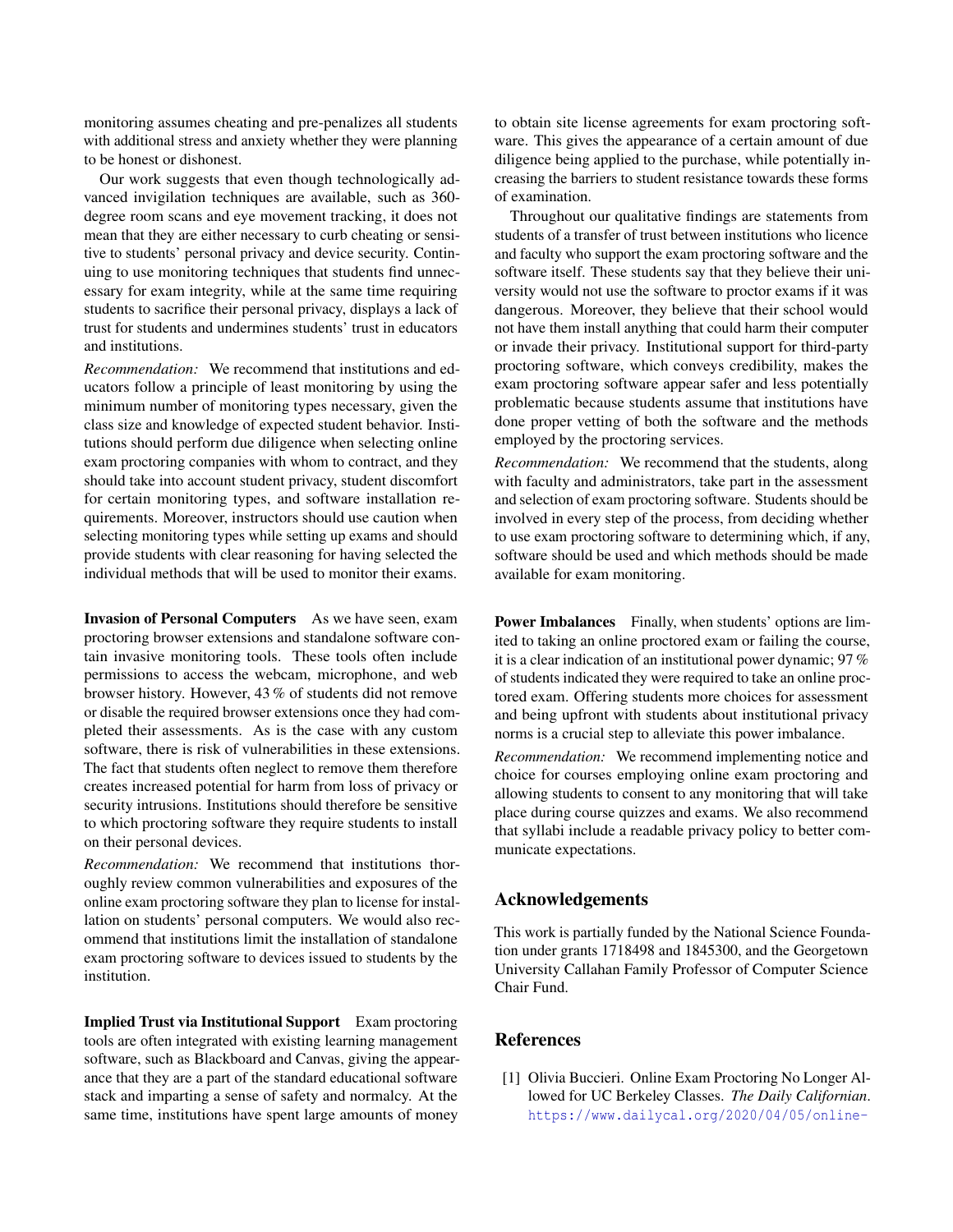monitoring assumes cheating and pre-penalizes all students with additional stress and anxiety whether they were planning to be honest or dishonest.

Our work suggests that even though technologically advanced invigilation techniques are available, such as 360 degree room scans and eye movement tracking, it does not mean that they are either necessary to curb cheating or sensitive to students' personal privacy and device security. Continuing to use monitoring techniques that students find unnecessary for exam integrity, while at the same time requiring students to sacrifice their personal privacy, displays a lack of trust for students and undermines students' trust in educators and institutions.

*Recommendation:* We recommend that institutions and educators follow a principle of least monitoring by using the minimum number of monitoring types necessary, given the class size and knowledge of expected student behavior. Institutions should perform due diligence when selecting online exam proctoring companies with whom to contract, and they should take into account student privacy, student discomfort for certain monitoring types, and software installation requirements. Moreover, instructors should use caution when selecting monitoring types while setting up exams and should provide students with clear reasoning for having selected the individual methods that will be used to monitor their exams.

Invasion of Personal Computers As we have seen, exam proctoring browser extensions and standalone software contain invasive monitoring tools. These tools often include permissions to access the webcam, microphone, and web browser history. However, 43 % of students did not remove or disable the required browser extensions once they had completed their assessments. As is the case with any custom software, there is risk of vulnerabilities in these extensions. The fact that students often neglect to remove them therefore creates increased potential for harm from loss of privacy or security intrusions. Institutions should therefore be sensitive to which proctoring software they require students to install on their personal devices.

*Recommendation:* We recommend that institutions thoroughly review common vulnerabilities and exposures of the online exam proctoring software they plan to license for installation on students' personal computers. We would also recommend that institutions limit the installation of standalone exam proctoring software to devices issued to students by the institution.

Implied Trust via Institutional Support Exam proctoring tools are often integrated with existing learning management software, such as Blackboard and Canvas, giving the appearance that they are a part of the standard educational software stack and imparting a sense of safety and normalcy. At the same time, institutions have spent large amounts of money

to obtain site license agreements for exam proctoring software. This gives the appearance of a certain amount of due diligence being applied to the purchase, while potentially increasing the barriers to student resistance towards these forms of examination.

Throughout our qualitative findings are statements from students of a transfer of trust between institutions who licence and faculty who support the exam proctoring software and the software itself. These students say that they believe their university would not use the software to proctor exams if it was dangerous. Moreover, they believe that their school would not have them install anything that could harm their computer or invade their privacy. Institutional support for third-party proctoring software, which conveys credibility, makes the exam proctoring software appear safer and less potentially problematic because students assume that institutions have done proper vetting of both the software and the methods employed by the proctoring services.

*Recommendation:* We recommend that the students, along with faculty and administrators, take part in the assessment and selection of exam proctoring software. Students should be involved in every step of the process, from deciding whether to use exam proctoring software to determining which, if any, software should be used and which methods should be made available for exam monitoring.

Power Imbalances Finally, when students' options are limited to taking an online proctored exam or failing the course, it is a clear indication of an institutional power dynamic; 97 % of students indicated they were required to take an online proctored exam. Offering students more choices for assessment and being upfront with students about institutional privacy norms is a crucial step to alleviate this power imbalance.

*Recommendation:* We recommend implementing notice and choice for courses employing online exam proctoring and allowing students to consent to any monitoring that will take place during course quizzes and exams. We also recommend that syllabi include a readable privacy policy to better communicate expectations.

## Acknowledgements

This work is partially funded by the National Science Foundation under grants 1718498 and 1845300, and the Georgetown University Callahan Family Professor of Computer Science Chair Fund.

## **References**

<span id="page-11-0"></span>[1] Olivia Buccieri. Online Exam Proctoring No Longer Allowed for UC Berkeley Classes. *The Daily Californian*. [https://www.dailycal.org/2020/04/05/online-](https://www.dailycal.org/2020/04/05/online-exam-proctoring-no-longer-allowed-for-uc-berkeley-classes/)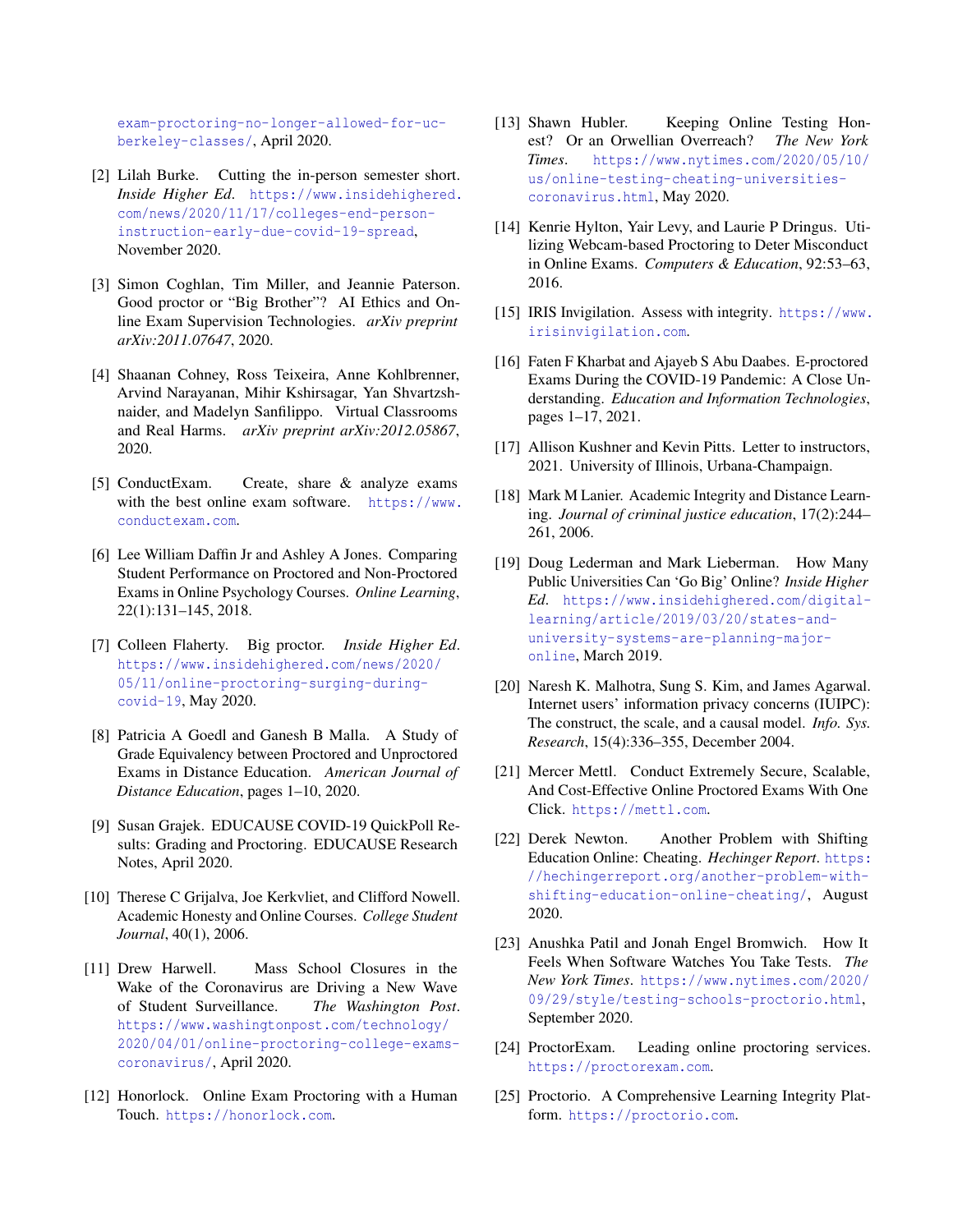[exam-proctoring-no-longer-allowed-for-uc](https://www.dailycal.org/2020/04/05/online-exam-proctoring-no-longer-allowed-for-uc-berkeley-classes/)[berkeley-classes/](https://www.dailycal.org/2020/04/05/online-exam-proctoring-no-longer-allowed-for-uc-berkeley-classes/), April 2020.

- <span id="page-12-1"></span>[2] Lilah Burke. Cutting the in-person semester short. *Inside Higher Ed*. [https://www.insidehighered.](https://www.insidehighered.com/news/2020/11/17/colleges-end-person-instruction-early-due-covid-19-spread) [com/news/2020/11/17/colleges-end-person](https://www.insidehighered.com/news/2020/11/17/colleges-end-person-instruction-early-due-covid-19-spread)[instruction-early-due-covid-19-spread](https://www.insidehighered.com/news/2020/11/17/colleges-end-person-instruction-early-due-covid-19-spread), November 2020.
- <span id="page-12-17"></span>[3] Simon Coghlan, Tim Miller, and Jeannie Paterson. Good proctor or "Big Brother"? AI Ethics and Online Exam Supervision Technologies. *arXiv preprint arXiv:2011.07647*, 2020.
- <span id="page-12-9"></span>[4] Shaanan Cohney, Ross Teixeira, Anne Kohlbrenner, Arvind Narayanan, Mihir Kshirsagar, Yan Shvartzshnaider, and Madelyn Sanfilippo. Virtual Classrooms and Real Harms. *arXiv preprint arXiv:2012.05867*, 2020.
- <span id="page-12-18"></span>[5] ConductExam. Create, share & analyze exams with the best online exam software. [https://www.](https://www.conductexam.com) [conductexam.com](https://www.conductexam.com).
- <span id="page-12-8"></span>[6] Lee William Daffin Jr and Ashley A Jones. Comparing Student Performance on Proctored and Non-Proctored Exams in Online Psychology Courses. *Online Learning*, 22(1):131–145, 2018.
- <span id="page-12-2"></span>[7] Colleen Flaherty. Big proctor. *Inside Higher Ed*. [https://www.insidehighered.com/news/2020/](https://www.insidehighered.com/news/2020/05/11/online-proctoring-surging-during-covid-19) [05/11/online-proctoring-surging-during](https://www.insidehighered.com/news/2020/05/11/online-proctoring-surging-during-covid-19)[covid-19](https://www.insidehighered.com/news/2020/05/11/online-proctoring-surging-during-covid-19), May 2020.
- <span id="page-12-16"></span>[8] Patricia A Goedl and Ganesh B Malla. A Study of Grade Equivalency between Proctored and Unproctored Exams in Distance Education. *American Journal of Distance Education*, pages 1–10, 2020.
- <span id="page-12-3"></span>[9] Susan Grajek. EDUCAUSE COVID-19 QuickPoll Results: Grading and Proctoring. EDUCAUSE Research Notes, April 2020.
- <span id="page-12-15"></span>[10] Therese C Grijalva, Joe Kerkvliet, and Clifford Nowell. Academic Honesty and Online Courses. *College Student Journal*, 40(1), 2006.
- <span id="page-12-11"></span>[11] Drew Harwell. Mass School Closures in the Wake of the Coronavirus are Driving a New Wave of Student Surveillance. *The Washington Post*. [https://www.washingtonpost.com/technology/](https://www.washingtonpost.com/technology/2020/04/01/online-proctoring-college-exams-coronavirus/) [2020/04/01/online-proctoring-college-exams](https://www.washingtonpost.com/technology/2020/04/01/online-proctoring-college-exams-coronavirus/)[coronavirus/](https://www.washingtonpost.com/technology/2020/04/01/online-proctoring-college-exams-coronavirus/), April 2020.
- <span id="page-12-19"></span>[12] Honorlock. Online Exam Proctoring with a Human Touch. <https://honorlock.com>.
- <span id="page-12-12"></span>[13] Shawn Hubler. Keeping Online Testing Honest? Or an Orwellian Overreach? *The New York Times*. [https://www.nytimes.com/2020/05/10/](https://www.nytimes.com/2020/05/10/us/online-testing-cheating-universities-coronavirus.html) [us/online-testing-cheating-universities](https://www.nytimes.com/2020/05/10/us/online-testing-cheating-universities-coronavirus.html)[coronavirus.html](https://www.nytimes.com/2020/05/10/us/online-testing-cheating-universities-coronavirus.html), May 2020.
- <span id="page-12-7"></span>[14] Kenrie Hylton, Yair Levy, and Laurie P Dringus. Utilizing Webcam-based Proctoring to Deter Misconduct in Online Exams. *Computers & Education*, 92:53–63, 2016.
- <span id="page-12-20"></span>[15] IRIS Invigilation. Assess with integrity. [https://www.](https://www.irisinvigilation.com) [irisinvigilation.com](https://www.irisinvigilation.com).
- <span id="page-12-14"></span>[16] Faten F Kharbat and Ajayeb S Abu Daabes. E-proctored Exams During the COVID-19 Pandemic: A Close Understanding. *Education and Information Technologies*, pages 1–17, 2021.
- <span id="page-12-10"></span>[17] Allison Kushner and Kevin Pitts. Letter to instructors, 2021. University of Illinois, Urbana-Champaign.
- <span id="page-12-5"></span>[18] Mark M Lanier. Academic Integrity and Distance Learning. *Journal of criminal justice education*, 17(2):244– 261, 2006.
- <span id="page-12-0"></span>[19] Doug Lederman and Mark Lieberman. How Many Public Universities Can 'Go Big' Online? *Inside Higher Ed*. [https://www.insidehighered.com/digital](https://www.insidehighered.com/digital-learning/article/2019/03/20/states-and-university-systems-are-planning-major-online)[learning/article/2019/03/20/states-and](https://www.insidehighered.com/digital-learning/article/2019/03/20/states-and-university-systems-are-planning-major-online)[university-systems-are-planning-major](https://www.insidehighered.com/digital-learning/article/2019/03/20/states-and-university-systems-are-planning-major-online)[online](https://www.insidehighered.com/digital-learning/article/2019/03/20/states-and-university-systems-are-planning-major-online), March 2019.
- <span id="page-12-23"></span>[20] Naresh K. Malhotra, Sung S. Kim, and James Agarwal. Internet users' information privacy concerns (IUIPC): The construct, the scale, and a causal model. *Info. Sys. Research*, 15(4):336–355, December 2004.
- <span id="page-12-21"></span>[21] Mercer Mettl. Conduct Extremely Secure, Scalable, And Cost-Effective Online Proctored Exams With One Click. <https://mettl.com>.
- <span id="page-12-6"></span>[22] Derek Newton. Another Problem with Shifting Education Online: Cheating. *Hechinger Report*. [https:](https://hechingerreport.org/another-problem-with-shifting-education-online-cheating/) [//hechingerreport.org/another-problem-with](https://hechingerreport.org/another-problem-with-shifting-education-online-cheating/)[shifting-education-online-cheating/](https://hechingerreport.org/another-problem-with-shifting-education-online-cheating/), August 2020.
- <span id="page-12-13"></span>[23] Anushka Patil and Jonah Engel Bromwich. How It Feels When Software Watches You Take Tests. *The New York Times*. [https://www.nytimes.com/2020/](https://www.nytimes.com/2020/09/29/style/testing-schools-proctorio.html) [09/29/style/testing-schools-proctorio.html](https://www.nytimes.com/2020/09/29/style/testing-schools-proctorio.html), September 2020.
- <span id="page-12-22"></span>[24] ProctorExam. Leading online proctoring services. <https://proctorexam.com>.
- <span id="page-12-4"></span>[25] Proctorio. A Comprehensive Learning Integrity Platform. <https://proctorio.com>.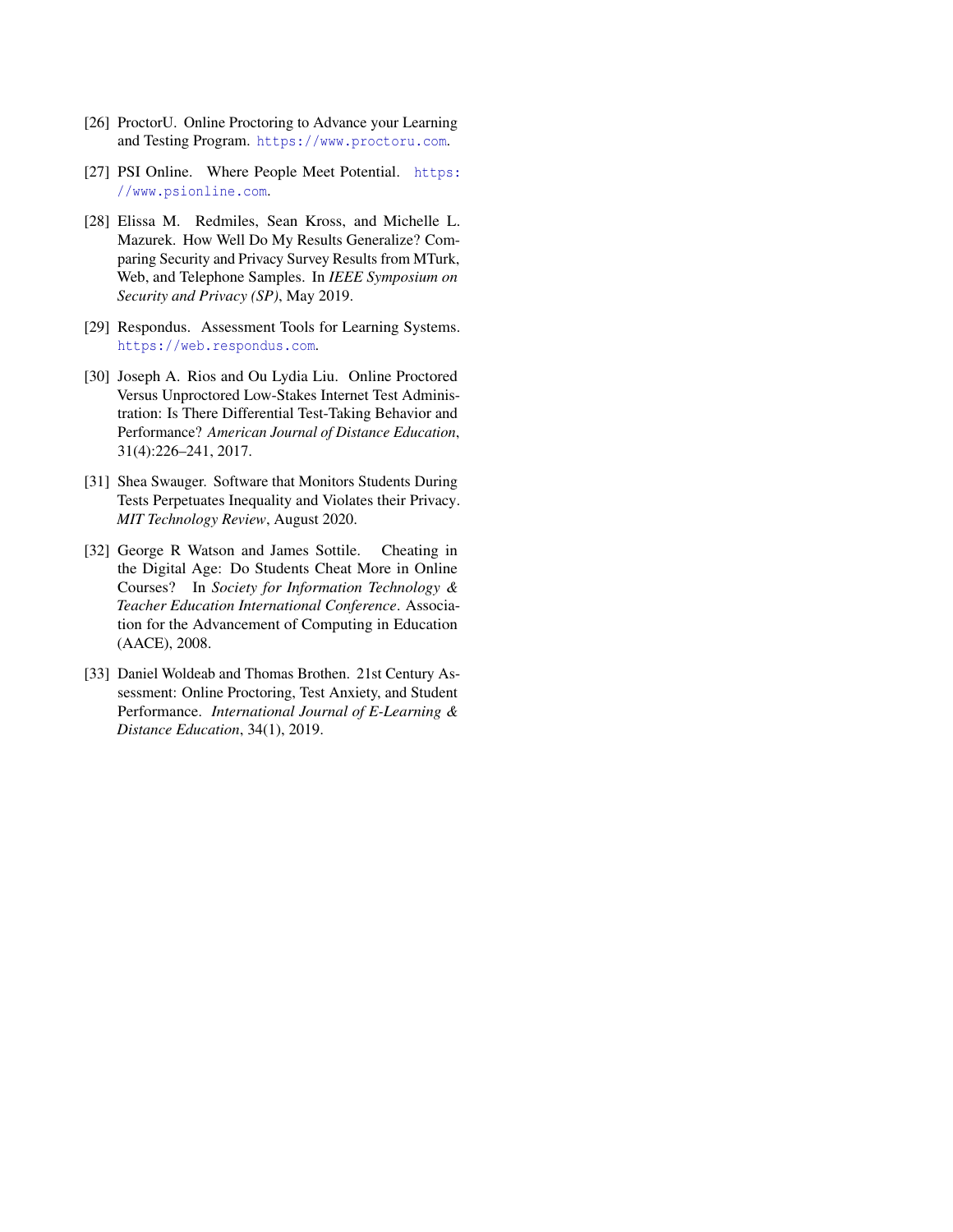- <span id="page-13-1"></span>[26] ProctorU. Online Proctoring to Advance your Learning and Testing Program. <https://www.proctoru.com>.
- <span id="page-13-6"></span>[27] PSI Online. Where People Meet Potential. [https:](https://www.psionline.com) [//www.psionline.com](https://www.psionline.com).
- <span id="page-13-7"></span>[28] Elissa M. Redmiles, Sean Kross, and Michelle L. Mazurek. How Well Do My Results Generalize? Comparing Security and Privacy Survey Results from MTurk, Web, and Telephone Samples. In *IEEE Symposium on Security and Privacy (SP)*, May 2019.
- <span id="page-13-0"></span>[29] Respondus. Assessment Tools for Learning Systems. <https://web.respondus.com>.
- <span id="page-13-4"></span>[30] Joseph A. Rios and Ou Lydia Liu. Online Proctored Versus Unproctored Low-Stakes Internet Test Administration: Is There Differential Test-Taking Behavior and Performance? *American Journal of Distance Education*, 31(4):226–241, 2017.
- <span id="page-13-2"></span>[31] Shea Swauger. Software that Monitors Students During Tests Perpetuates Inequality and Violates their Privacy. *MIT Technology Review*, August 2020.
- <span id="page-13-3"></span>[32] George R Watson and James Sottile. Cheating in the Digital Age: Do Students Cheat More in Online Courses? In *Society for Information Technology & Teacher Education International Conference*. Association for the Advancement of Computing in Education (AACE), 2008.
- <span id="page-13-5"></span>[33] Daniel Woldeab and Thomas Brothen. 21st Century Assessment: Online Proctoring, Test Anxiety, and Student Performance. *International Journal of E-Learning & Distance Education*, 34(1), 2019.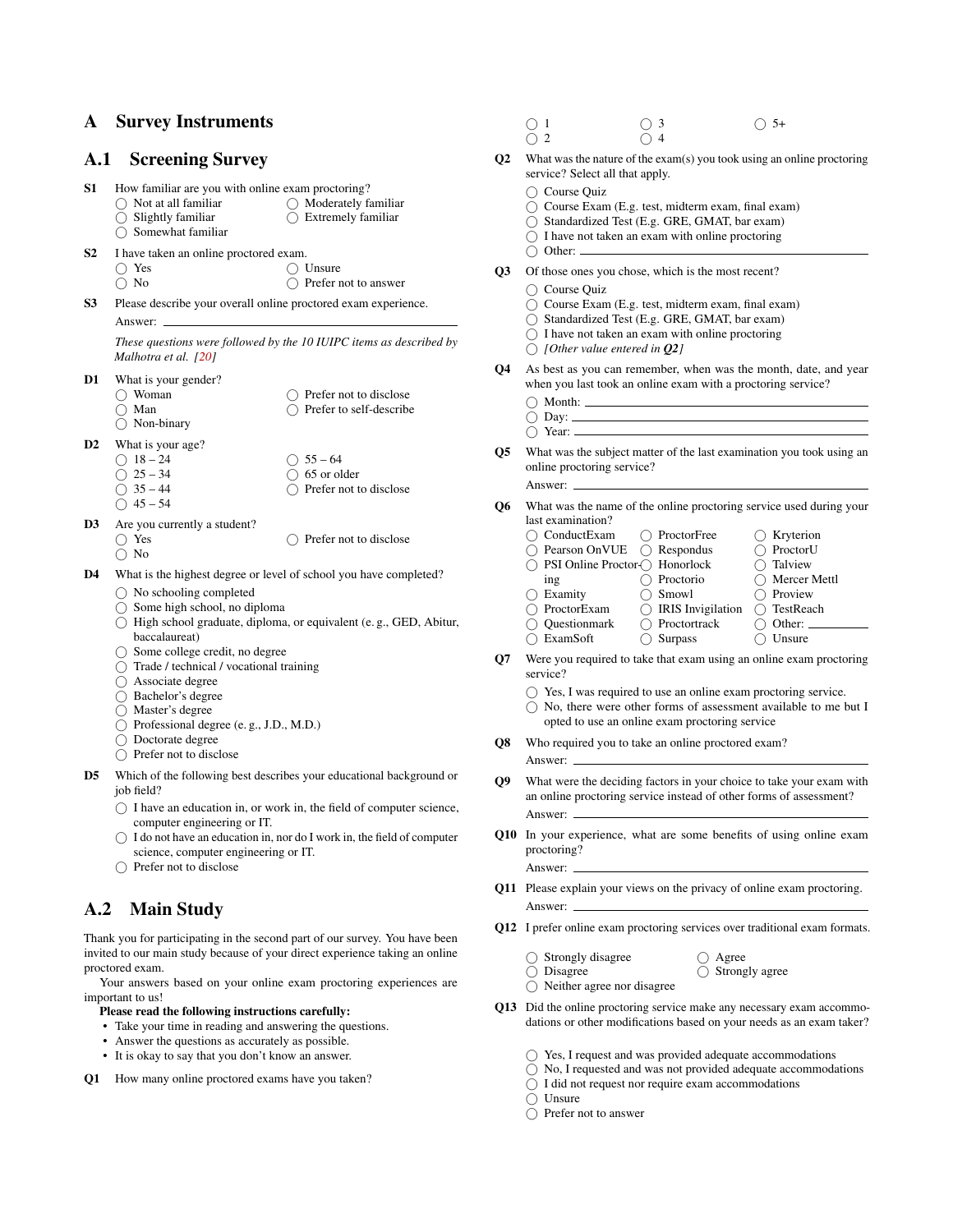### A Survey Instruments

## <span id="page-14-1"></span>A.1 Screening Survey

- S1 How familiar are you with online exam proctoring?
	- $\bigcap$  Not at all familiar Moderately familiar  $\bigcap$  Extremely familiar
	- $\bigcirc$  Slightly familiar
	- $\bigcirc$  Somewhat familiar
- S2 I have taken an online proctored exam.
	- $\bigcap$  Yes  $\bigcap$  Unsure
	- No ◯ Prefer not to answer
- S3 Please describe your overall online proctored exam experience. Answer:

*These questions were followed by the 10 IUIPC items as described by Malhotra et al. [\[20\]](#page-12-23)*

- D1 What is your gender?
	- Woman ◯ Man ◯ Non-binary Prefer not to disclose ◯ Prefer to self-describe
- D2 What is your age?

 $\bigcirc$  45 – 54

- $\bigcap$  18 24  $\bigcap$  25 – 34  $\bigcirc$  35 – 44  $\bigcap$  55 – 64  $\bigcirc$  65 or older Prefer not to disclose
- D3 Are you currently a student?
	- $\bigcap$  Yes
	- $\bigcap$  No
- D4 What is the highest degree or level of school you have completed?
	- No schooling completed
	- Some high school, no diploma
	- High school graduate, diploma, or equivalent (e. g., GED, Abitur, baccalaureat)

 $\bigcap$  Prefer not to disclose

- $\bigcirc$  Some college credit, no degree
- Trade / technical / vocational training
- Associate degree
- Bachelor's degree
- Master's degree
- Professional degree (e. g., J.D., M.D.)
- Doctorate degree
- Prefer not to disclose
- D5 Which of the following best describes your educational background or job field?
	- $\bigcap$  I have an education in, or work in, the field of computer science, computer engineering or IT.
	- $\bigcirc$  I do not have an education in, nor do I work in, the field of computer science, computer engineering or IT.
	- $\bigcap$  Prefer not to disclose

## <span id="page-14-2"></span>A.2 Main Study

Thank you for participating in the second part of our survey. You have been invited to our main study because of your direct experience taking an online proctored exam.

Your answers based on your online exam proctoring experiences are important to us!

#### Please read the following instructions carefully:

- Take your time in reading and answering the questions.
- Answer the questions as accurately as possible.
- It is okay to say that you don't know an answer.

<span id="page-14-3"></span>Q1 How many online proctored exams have you taken?

- $\bigcirc$  1  $\sum_{ }^{\infty}$  2  $\bigcap$  3  $\bigcirc$  4  $\bigcirc$  5+
- <span id="page-14-4"></span>Q2 What was the nature of the exam(s) you took using an online proctoring service? Select all that apply.
	- Course Quiz
	- $\bigcap$  Course Exam (E.g. test, midterm exam, final exam)
	- Standardized Test (E.g. GRE, GMAT, bar exam)
	- $\bigcirc$  I have not taken an exam with online proctoring
	- $\bigcirc$  Other:
- <span id="page-14-12"></span>Q3 Of those ones you chose, which is the most recent?
	- Course Quiz
	- $\bigcap$  Course Exam (E.g. test, midterm exam, final exam)
	- $\bigcirc$  Standardized Test (E.g. GRE, GMAT, bar exam)<br> $\bigcirc$  I have not taken an exam with online proctoring
	- I have not taken an exam with online proctoring
	- *[Other value entered in [Q2](#page-14-4)]*
- <span id="page-14-5"></span>As best as you can remember, when was the month, date, and year when you last took an online exam with a proctoring service?
	- $\bigcirc$  Month:
	- $\bigcirc$  Day:  $\bigcap$  Year:  $\overline{\phantom{a}}$
- Q5 What was the subject matter of the last examination you took using an online proctoring service?

Answer:

- <span id="page-14-0"></span>Q6 What was the name of the online proctoring service used during your last examination?
	- ConductExam ○ Pearson OnVUE ◯ PSI Online Proctor ◯ Honorlock ing ◯ Examity ProctorExam O Questionmark ◯ ExamSoft ○ ProctorFree Respondus O Proctorio ◯ Smowl  $\bigcirc$  IRIS Invigilation O Proctortrack ○ Surpass ◯ Kryterion ProctorU Talview ○ Mercer Mettl ◯ Proview ○ TestReach  $\bigcirc$  Other:  $\bigcap$  Unsure
- <span id="page-14-6"></span>Q7 Were you required to take that exam using an online exam proctoring service?
	- $\bigcirc$  Yes, I was required to use an online exam proctoring service.
	- No, there were other forms of assessment available to me but I opted to use an online exam proctoring service
- <span id="page-14-7"></span>Q8 Who required you to take an online proctored exam?
	- Answer:
- Q9 What were the deciding factors in your choice to take your exam with an online proctoring service instead of other forms of assessment? Answer:
- <span id="page-14-9"></span>Q10 In your experience, what are some benefits of using online exam proctoring? Answer:
- <span id="page-14-10"></span>Q11 Please explain your views on the privacy of online exam proctoring. Answer:
- <span id="page-14-8"></span>Q12 I prefer online exam proctoring services over traditional exam formats.
	- $\bigcirc$  Strongly disagree ◯ Disagree  $\bigcap$  Agree  $\bigcirc$  Strongly agree
	- $\bigcap$  Neither agree nor disagree
- <span id="page-14-11"></span>Q13 Did the online proctoring service make any necessary exam accommodations or other modifications based on your needs as an exam taker?
	- $\bigcirc$  Yes, I request and was provided adequate accommodations
	- $\bigcirc$  No, I requested and was not provided adequate accommodations
	- $\bigcirc$  I did not request nor require exam accommodations
	- $\bigcap$  Unsure
	- $\bigcap$  Prefer not to answer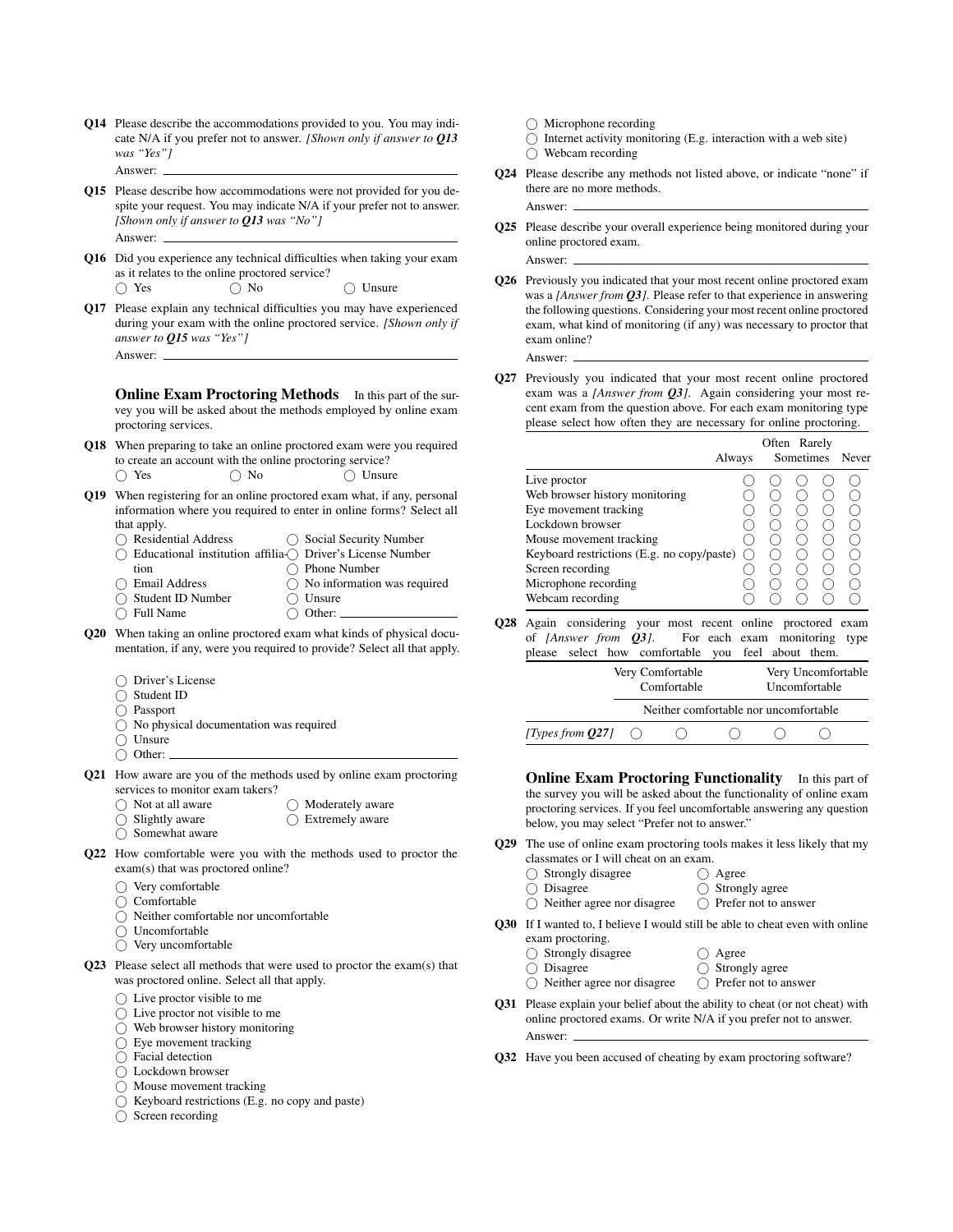- Q14 Please describe the accommodations provided to you. You may indicate N/A if you prefer not to answer. *[Shown only if answer to [Q13](#page-14-11) was "Yes"]* Answer:
- <span id="page-15-12"></span>Q15 Please describe how accommodations were not provided for you despite your request. You may indicate N/A if your prefer not to answer. *[Shown only if answer to [Q13](#page-14-11) was "No"]* Answer:
- Q16 Did you experience any technical difficulties when taking your exam as it relates to the online proctored service?  $\bigcap$  Yes  $\bigcap$  No  $\bigcap$  Unsure
- <span id="page-15-0"></span>Q17 Please explain any technical difficulties you may have experienced during your exam with the online proctored service. *[Shown only if answer to [Q15](#page-15-12) was "Yes"]* Answer:

**Online Exam Proctoring Methods** In this part of the survey you will be asked about the methods employed by online exam proctoring services.

- <span id="page-15-9"></span>Q18 When preparing to take an online proctored exam were you required to create an account with the online proctoring service? ○ Yes ○ No ○ Unsure
- <span id="page-15-10"></span>Q19 When registering for an online proctored exam what, if any, personal information where you required to enter in online forms? Select all
	- that apply. ◯ Residential Address Educational institution affilia- Driver's License Number tion Email Address ◯ Social Security Number ◯ Phone Number  $\bigcirc$  No information was required
	- Student ID Number  $\bigcirc$  Unsure
	- $\overline{O}$  Full Name  $\bigcap$  Other:
- <span id="page-15-11"></span>Q20 When taking an online proctored exam what kinds of physical documentation, if any, were you required to provide? Select all that apply.
	- Driver's License
	- Student ID
	- Passport
	- $\bigcirc$  No physical documentation was required
	- $\bigcap$  Unsure
	- Other:
- Q21 How aware are you of the methods used by online exam proctoring services to monitor exam takers?
	- Not at all aware  $\bigcap$  Slightly aware
- ◯ Moderately aware  $\bigcap$  Extremely aware
- $\bigcap$  Somewhat aware
- <span id="page-15-7"></span>Q22 How comfortable were you with the methods used to proctor the exam(s) that was proctored online?
	- $\bigcap$  Very comfortable
	- $\bigcap$  Comfortable
	- Neither comfortable nor uncomfortable
	- Uncomfortable
	- $\bigcirc$  Very uncomfortable
- <span id="page-15-3"></span>Q23 Please select all methods that were used to proctor the exam(s) that was proctored online. Select all that apply.
	- $\bigcap$  Live proctor visible to me
	- $\bigcirc$  Live proctor not visible to me
	- Web browser history monitoring
	- $\bigcirc$  Eye movement tracking
	- $\bigcap$  Facial detection
	- Lockdown browser
	- $\bigcirc$  Mouse movement tracking
	- $\bigcirc$  Keyboard restrictions (E.g. no copy and paste)
	- $\bigcap$  Screen recording
- $\bigcap$  Microphone recording
- $\bigcirc$  Internet activity monitoring (E.g. interaction with a web site) Webcam recording
- Q24 Please describe any methods not listed above, or indicate "none" if there are no more methods.
- <span id="page-15-6"></span>Q25 Please describe your overall experience being monitored during your online proctored exam.
- Q26 Previously you indicated that your most recent online proctored exam was a *[Answer from [Q3](#page-14-12)]*. Please refer to that experience in answering the following questions. Considering your most recent online proctored exam, what kind of monitoring (if any) was necessary to proctor that exam online?

Answer:

Answer:

Answer:

<span id="page-15-8"></span>Q27 Previously you indicated that your most recent online proctored exam was a *[Answer from [Q3](#page-14-12)]*. Again considering your most recent exam from the question above. For each exam monitoring type please select how often they are necessary for online proctoring.

|                                                                                                                                                                                                                                      | Always |                                     | Often Rarely<br>Sometimes | Never |  |
|--------------------------------------------------------------------------------------------------------------------------------------------------------------------------------------------------------------------------------------|--------|-------------------------------------|---------------------------|-------|--|
| Live proctor<br>Web browser history monitoring<br>Eye movement tracking<br>Lockdown browser<br>Mouse movement tracking<br>Keyboard restrictions (E.g. no copy/paste)<br>Screen recording<br>Microphone recording<br>Webcam recording |        |                                     |                           |       |  |
| Again considering your most recent online proctored exam<br>of <i>[Answer from <math>Q3</math>]</i> . For each exam<br>please select how comfortable you feel about them.                                                            |        |                                     | monitoring                | type  |  |
| Very Comfortable<br>Comfortable                                                                                                                                                                                                      |        | Very Uncomfortable<br>Uncomfortable |                           |       |  |
| Neither comfortable nor uncomfortable                                                                                                                                                                                                |        |                                     |                           |       |  |

**Online Exam Proctoring Functionality** In this part of the survey you will be asked about the functionality of online exam proctoring services. If you feel uncomfortable answering any question below, you may select "Prefer not to answer."

<span id="page-15-2"></span>Q29 The use of online exam proctoring tools makes it less likely that my classmates or I will cheat on an exam. ◯ Agree

<span id="page-15-1"></span>*[Types from [Q27](#page-15-8)]*  $\bigcirc$   $\bigcirc$   $\bigcirc$   $\bigcirc$   $\bigcirc$   $\bigcirc$ 

 $\bigcirc$  Strongly disagree O Disagree

O Disagree

- $\bigcirc$  Strongly agree
- $\bigcirc$  Neither agree nor disagree  $\bigcirc$  Prefer not to answer
- <span id="page-15-4"></span>Q30 If I wanted to, I believe I would still be able to cheat even with online exam proctoring.
	- $\bigcirc$  Strongly disagree ○ Agree
		- $\bigcirc$  Strongly agree
	- Neither agree nor disagree Prefer not to answer
- Q31 Please explain your belief about the ability to cheat (or not cheat) with online proctored exams. Or write N/A if you prefer not to answer. Answer:
- <span id="page-15-5"></span>Q32 Have you been accused of cheating by exam proctoring software?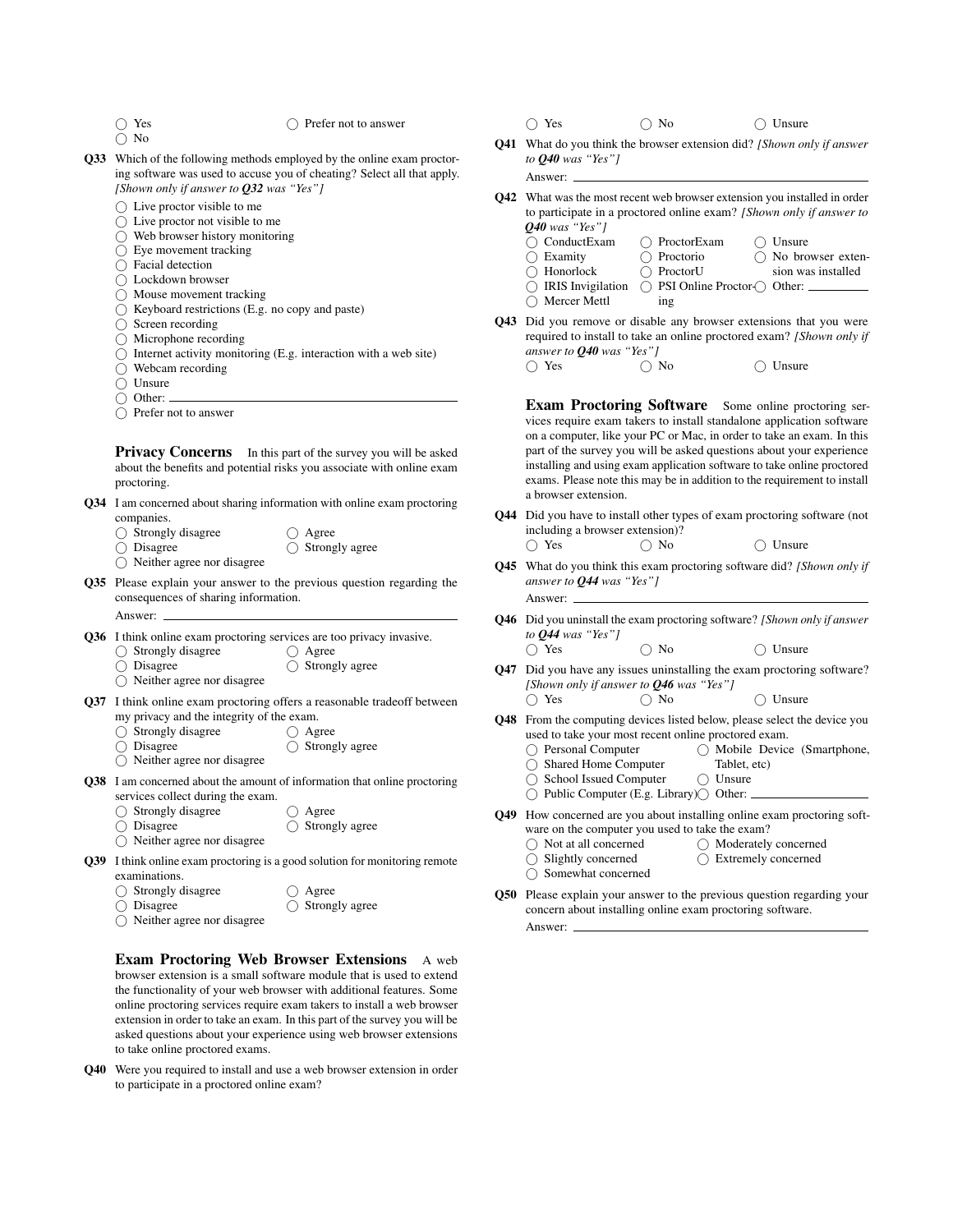- $\bigcap$  Yes ○ No
	-

#### $\bigcap$  Prefer not to answer

- <span id="page-16-0"></span>Q33 Which of the following methods employed by the online exam proctoring software was used to accuse you of cheating? Select all that apply. *[Shown only if answer to [Q32](#page-15-5) was "Yes"]*
	- $\bigcap$  Live proctor visible to me
	- $\bigcirc$  Live proctor not visible to me
	- $\bigcap$  Web browser history monitoring
	- $\bigcirc$  Eye movement tracking
	- Facial detection
	- Lockdown browser
	- $\bigcap$  Mouse movement tracking
	- $\bigcirc$  Keyboard restrictions (E.g. no copy and paste)
	- $\bigcirc$  Screen recording
	- Microphone recording
	- $\bigcirc$  Internet activity monitoring (E.g. interaction with a web site)
	- ◯ Webcam recording
	- $\bigcap$  Unsure
	- $\bigcap$  Other:

Answer:

○ Prefer not to answer

Privacy Concerns In this part of the survey you will be asked about the benefits and potential risks you associate with online exam proctoring.

- <span id="page-16-1"></span>Q34 I am concerned about sharing information with online exam proctoring companies.
	- $\bigcirc$  Strongly disagree  $\bigcap$  Agree
	- Disagree  $\bigcirc$  Strongly agree
	- $\bigcirc$  Neither agree nor disagree
- <span id="page-16-5"></span>Q35 Please explain your answer to the previous question regarding the consequences of sharing information.
- <span id="page-16-6"></span>Q36 I think online exam proctoring services are too privacy invasive.
	- $\bigcirc$  Strongly disagree  $\bigcap$  Disagree Agree  $\bigcirc$  Strongly agree
	- Neither agree nor disagree
- <span id="page-16-7"></span>Q37 I think online exam proctoring offers a reasonable tradeoff between my privacy and the integrity of the exam.
	- $\bigcap$  Strongly disagree  $\bigcap$  Agree
	- Disagree  $\bigcirc$  Strongly agree
	- $\bigcirc$  Neither agree nor disagree
	-
- <span id="page-16-8"></span>Q38 I am concerned about the amount of information that online proctoring services collect during the exam.
	- Strongly disagree ○ Agree
	- $\bigcap$  Disagree  $\bigcap$  Strongly agree
	- Neither agree nor disagree
- <span id="page-16-2"></span>Q39 I think online exam proctoring is a good solution for monitoring remote examinations.

| $\bigcirc$ Strongly disagree | $\bigcap$ Agree           |
|------------------------------|---------------------------|
| $\bigcirc$ Disagree          | $\bigcirc$ Strongly agree |
|                              |                           |

 $\bigcap$  Neither agree nor disagree

Exam Proctoring Web Browser Extensions A web browser extension is a small software module that is used to extend the functionality of your web browser with additional features. Some online proctoring services require exam takers to install a web browser extension in order to take an exam. In this part of the survey you will be asked questions about your experience using web browser extensions to take online proctored exams.

<span id="page-16-3"></span>Q40 Were you required to install and use a web browser extension in order to participate in a proctored online exam?

- $\bigcap$  Yes  $\bigcap$  No  $\bigcap$  Unsure
- <span id="page-16-10"></span>Q41 What do you think the browser extension did? *[Shown only if answer to [Q40](#page-16-3) was "Yes"]*

Answer:

- <span id="page-16-11"></span>Q42 What was the most recent web browser extension you installed in order to participate in a proctored online exam? *[Shown only if answer to [Q40](#page-16-3) was "Yes"]*
	- O ConductExam ◯ Examity Honorlock O IRIS Invigilation  $\bigcap$  Mercer Mettl ○ ProctorExam Proctorio ProctorU ○ PSI Online Proctor-○ Other:  $\bigcirc$  Unsure No browser extension was installed
- <span id="page-16-12"></span>Q43 Did you remove or disable any browser extensions that you were required to install to take an online proctored exam? *[Shown only if answer to*  $\mathbf{Q40}$  $\mathbf{Q40}$  $\mathbf{Q40}$  *was* "*Yes*"]<br>  $\bigcirc$  Yes  $\bigcirc$  No

ing

Answer:

 $\bigcirc$  Unsure

Exam Proctoring Software Some online proctoring services require exam takers to install standalone application software on a computer, like your PC or Mac, in order to take an exam. In this part of the survey you will be asked questions about your experience installing and using exam application software to take online proctored exams. Please note this may be in addition to the requirement to install a browser extension.

<span id="page-16-13"></span>Q44 Did you have to install other types of exam proctoring software (not including a browser extension)?

$$
\bigcirc \text{ Yes} \qquad \bigcirc \text{ No} \qquad \bigcirc \text{ Unsure}
$$

- <span id="page-16-14"></span>Q45 What do you think this exam proctoring software did? *[Shown only if answer to [Q44](#page-16-13) was "Yes"]*
- <span id="page-16-15"></span>Q46 Did you uninstall the exam proctoring software? *[Shown only if answer to [Q44](#page-16-13) was "Yes"]*
- Yes No Unsure Q47 Did you have any issues uninstalling the exam proctoring software?
	- *[Shown only if answer to [Q46](#page-16-15) was "Yes"]* Yes No Unsure
- Q48 From the computing devices listed below, please select the device you used to take your most recent online proctored exam.
	- ◯ Personal Computer ○ Mobile Device (Smartphone,
	- Shared Home Computer Tablet, etc)
	- School Issued Computer  $\bigcirc$  Unsure
	- ◯ Public Computer (E.g. Library)◯ Other:
- <span id="page-16-9"></span>Q49 How concerned are you about installing online exam proctoring software on the computer you used to take the exam?
	- Not at all concerned Moderately concerned
	- $\bigcap$  Slightly concerned Extremely concerned
	- $\bigcirc$  Somewhat concerned
- <span id="page-16-4"></span>Q50 Please explain your answer to the previous question regarding your concern about installing online exam proctoring software. Answer: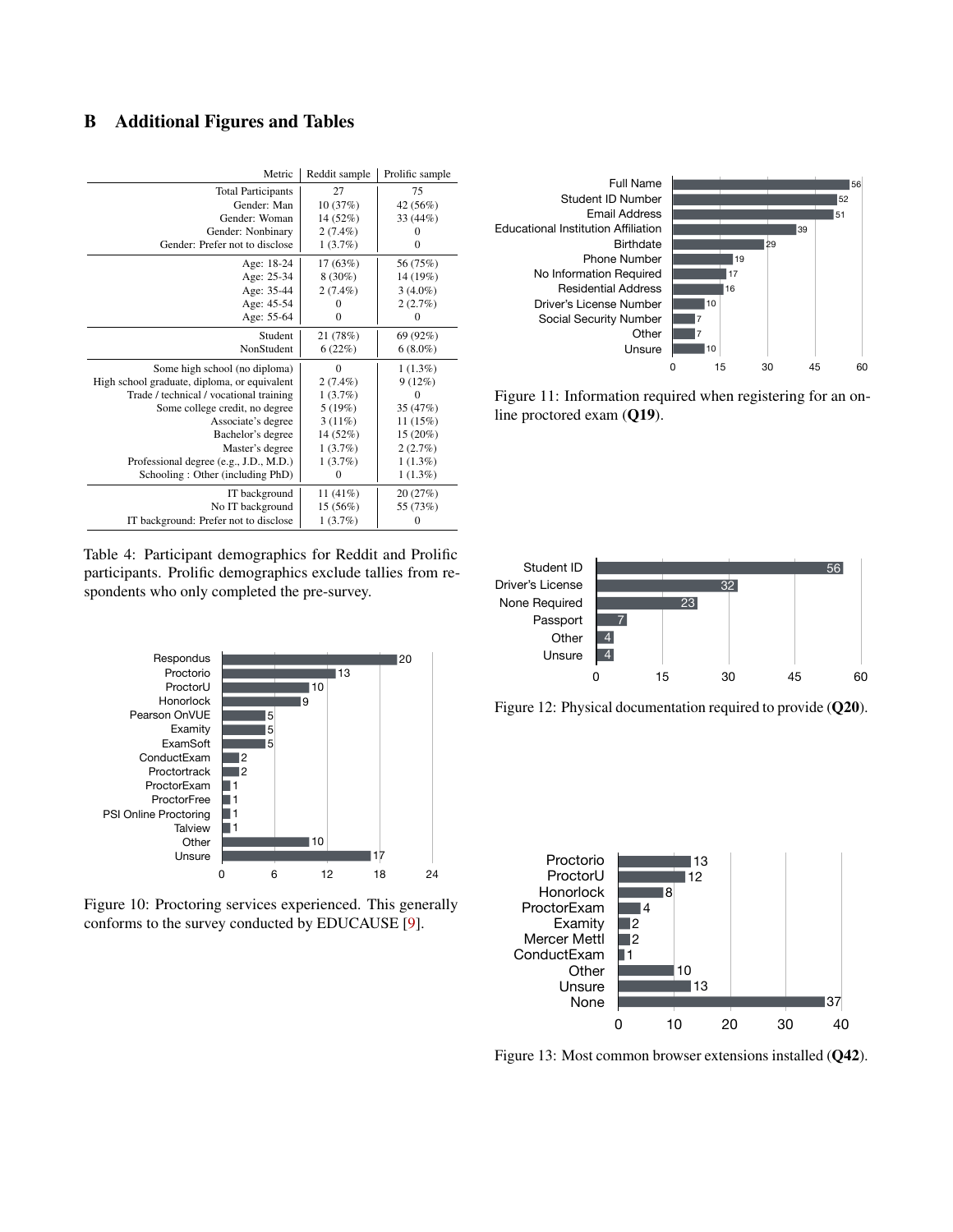## <span id="page-17-0"></span>B Additional Figures and Tables

|                                                                                                                                                                                                                                              | Metric  | Reddit sample                 | Prolific sample  |                                                                                                                                            |
|----------------------------------------------------------------------------------------------------------------------------------------------------------------------------------------------------------------------------------------------|---------|-------------------------------|------------------|--------------------------------------------------------------------------------------------------------------------------------------------|
| <b>Total Participants</b>                                                                                                                                                                                                                    |         | 27                            | 75               | <b>Full Name</b>                                                                                                                           |
| Gender: Man                                                                                                                                                                                                                                  |         | 10(37%)                       | 42 (56%)         | Student ID Number                                                                                                                          |
| Gender: Woman                                                                                                                                                                                                                                |         | 14(52%)                       | 33 (44%)         | <b>Email Address</b>                                                                                                                       |
| Gender: Nonbinary                                                                                                                                                                                                                            |         | 2(7.4%)                       | $\boldsymbol{0}$ | <b>Educational Institution Affiliation</b>                                                                                                 |
| Gender: Prefer not to disclose                                                                                                                                                                                                               |         | 1(3.7%)                       | $\boldsymbol{0}$ | <b>Birthdate</b>                                                                                                                           |
| Age: 18-24                                                                                                                                                                                                                                   |         | 17(63%)                       | 56 (75%)         | <b>Phone Number</b>                                                                                                                        |
| Age: 25-34                                                                                                                                                                                                                                   |         | $8(30\%)$                     | 14 (19%)         | No Information Required                                                                                                                    |
| Age: 35-44                                                                                                                                                                                                                                   |         | 2(7.4%)                       | $3(4.0\%)$       | <b>Residential Address</b>                                                                                                                 |
| Age: 45-54                                                                                                                                                                                                                                   |         | $\boldsymbol{0}$              | 2(2.7%)          | Driver's License Number                                                                                                                    |
| Age: 55-64                                                                                                                                                                                                                                   |         | $\boldsymbol{0}$              | 0                | Social Security Number                                                                                                                     |
|                                                                                                                                                                                                                                              | Student | 21 (78%)                      | 69 (92%)         | Other                                                                                                                                      |
| NonStudent                                                                                                                                                                                                                                   |         | 6(22%)                        | $6(8.0\%)$       | Unsure                                                                                                                                     |
| Some high school (no diploma)                                                                                                                                                                                                                |         | $\boldsymbol{0}$              | 1(1.3%)          |                                                                                                                                            |
| High school graduate, diploma, or equivalent                                                                                                                                                                                                 |         | $2(7.4\%)$                    | 9(12%)           |                                                                                                                                            |
| Trade / technical / vocational training                                                                                                                                                                                                      |         | 1(3.7%)                       | 0                | Figure 11: Information req                                                                                                                 |
| Some college credit, no degree                                                                                                                                                                                                               |         | 5(19%)                        | 35 (47%)         | line proctored exam $(Q19)$                                                                                                                |
| Associate's degree                                                                                                                                                                                                                           |         | 3(11%)                        | 11(15%)          |                                                                                                                                            |
| Bachelor's degree                                                                                                                                                                                                                            |         | 14 (52%)                      | $15(20\%)$       |                                                                                                                                            |
| Master's degree                                                                                                                                                                                                                              |         | 1(3.7%)                       | 2(2.7%)          |                                                                                                                                            |
| Professional degree (e.g., J.D., M.D.)                                                                                                                                                                                                       |         | 1(3.7%)                       | 1(1.3%)          |                                                                                                                                            |
| Schooling: Other (including PhD)                                                                                                                                                                                                             |         | $\boldsymbol{0}$              | 1(1.3%)          |                                                                                                                                            |
| IT background                                                                                                                                                                                                                                |         | 11(41%)                       | 20(27%)          |                                                                                                                                            |
| No IT background                                                                                                                                                                                                                             |         | 15 (56%)                      | 55 (73%)         |                                                                                                                                            |
| IT background: Prefer not to disclose                                                                                                                                                                                                        |         | 1(3.7%)                       | 0                |                                                                                                                                            |
| spondents who only completed the pre-survey.<br>Respondus<br>Proctorio<br>ProctorU<br>Honorlock<br>Pearson OnVUE<br>5<br>5<br>Examity<br>ExamSoft<br>5                                                                                       |         | $\blacksquare$ 13<br>10<br>وا | 120              | None Required<br>Passport<br>$\overline{7}$<br>$\overline{4}$<br>Other<br>$\overline{4}$<br>Unsure<br>0<br>1<br>Figure 12: Physical docume |
| ConductExam<br>12<br>$\mathsf{I}2$<br>Proctortrack<br>ProctorExam<br>$\mathbf{1}$<br>ProctorFree<br>11<br>PSI Online Proctoring<br>11<br>Talview<br>11<br>Other<br>Unsure<br>0<br>Figure 10: Proctoring services experienced. This generally | 6       | 10<br>12                      | 17<br>18<br>24   | Proctorio<br>ProctorU<br>Honorlock<br>ProctorExam<br>$\blacksquare$ 4                                                                      |
| conforms to the survey conducted by EDUCAUSE [9].                                                                                                                                                                                            |         |                               |                  | 12<br>Examity                                                                                                                              |

<span id="page-17-1"></span>

Figure 10: Proctoring services experienced. This generally conforms to the survey conducted by EDUCAUSE [\[9\]](#page-12-3).

<span id="page-17-2"></span>

Figure 11: Information required when registering for an online proctored exam ([Q19](#page-15-10)).

<span id="page-17-3"></span>



<span id="page-17-4"></span>

Figure 13: Most common browser extensions installed ([Q42](#page-16-11)).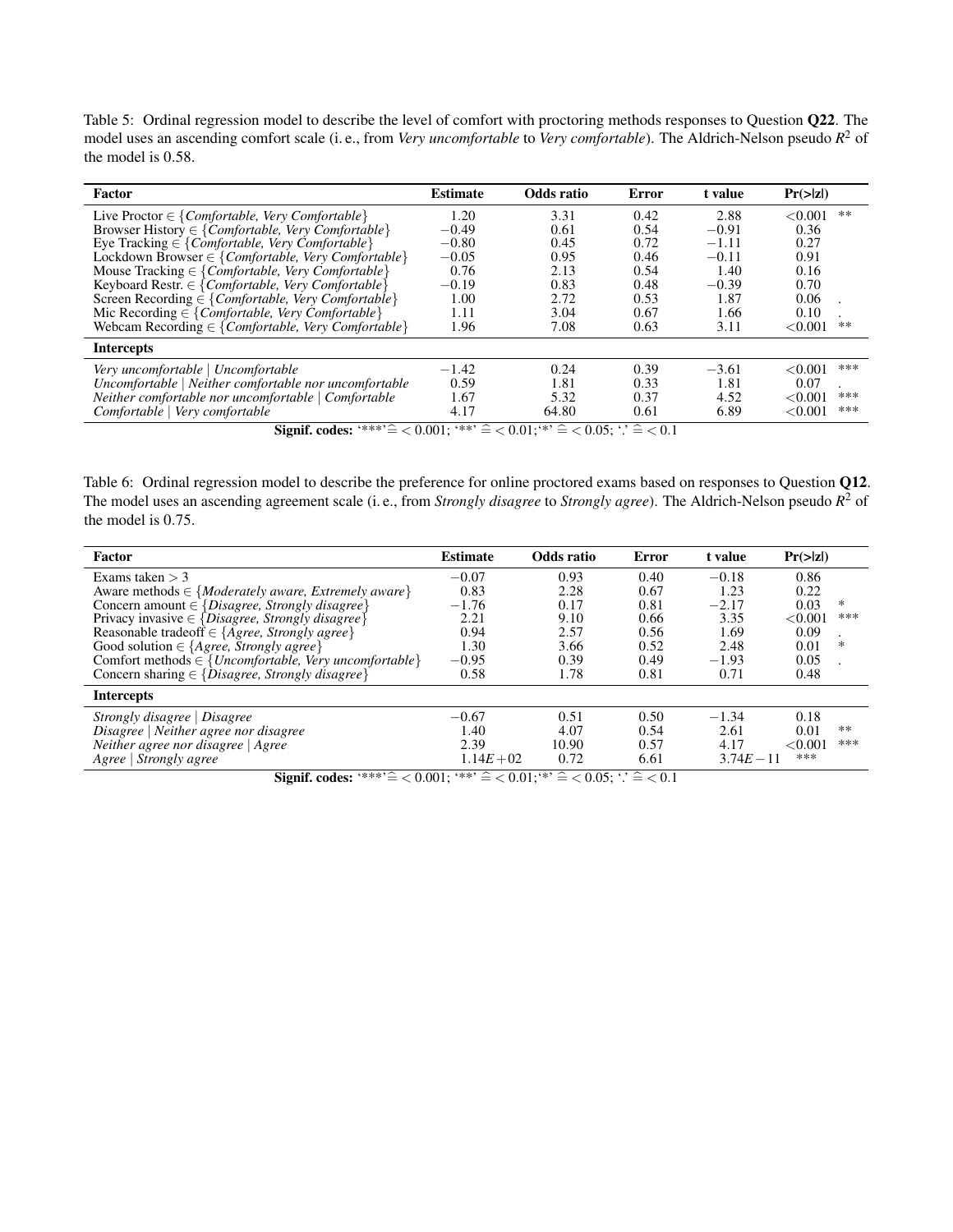<span id="page-18-1"></span>Table 5: Ordinal regression model to describe the level of comfort with proctoring methods responses to Question [Q22](#page-15-7). The model uses an ascending comfort scale (i. e., from *Very uncomfortable* to *Very comfortable*). The Aldrich-Nelson pseudo *R* <sup>2</sup> of the model is 0.58.

| Factor                                                                      | <b>Estimate</b>         | Odds ratio        | Error | t value | $Pr(\ge  z )$   |
|-----------------------------------------------------------------------------|-------------------------|-------------------|-------|---------|-----------------|
| Live Proctor $\in \{Comfortable, Very Comfortable\}$                        | 1.20                    | 3.31              | 0.42  | 2.88    | < 0.001<br>$**$ |
| Browser History $\in \{Comfor table, \, \text{Very Comfortable} \}$         | $-0.49$                 | 0.61              | 0.54  | $-0.91$ | 0.36            |
| Eye Tracking $\in$ {Comfortable, Very Comfortable}                          | $-0.80$                 | 0.45              | 0.72  | $-1.11$ | 0.27            |
| Lockdown Browser $\in$ {Comfortable, Very Comfortable}                      | $-0.05$                 | 0.95              | 0.46  | $-0.11$ | 0.91            |
| Mouse Tracking $\in \{Comfortable, \, \text{Very} \, \text{Confortable} \}$ | 0.76                    | 2.13              | 0.54  | 1.40    | 0.16            |
| Keyboard Restr. $\in$ {Comfortable, Very Comfortable}                       | $-0.19$                 | 0.83              | 0.48  | $-0.39$ | 0.70            |
| Screen Recording $\in \{Comfor table, Very Comfor table\}$                  | 1.00                    | 2.72              | 0.53  | 1.87    | 0.06            |
| Mic Recording $\in$ { <i>Comfortable, Very Comfortable</i> }                | 1.11                    | 3.04              | 0.67  | 1.66    | 0.10            |
| Webcam Recording $\in$ {Comfortable, Very Comfortable}                      | 1.96                    | 7.08              | 0.63  | 3.11    | < 0.001<br>**   |
| <b>Intercepts</b>                                                           |                         |                   |       |         |                 |
| Very uncomfortable   Uncomfortable                                          | $-1.42$                 | 0.24              | 0.39  | $-3.61$ | ***<br>< 0.001  |
| Uncomfortable   Neither comfortable nor uncomfortable                       | 0.59                    | 1.81              | 0.33  | 1.81    | 0.07            |
| Neither comfortable nor uncomfortable   Comfortable                         | 1.67                    | 5.32              | 0.37  | 4.52    | ***<br>< 0.001  |
| Comfortable   Very comfortable<br>$\cdots$<br>$\sim$ $\sim$                 | 4.17<br>$0.001$ $0.002$ | 64.80<br>0.011111 | 0.61  | 6.89    | < 0.001<br>***  |

Signif. codes: '\*\*\*' $\hat{=}$  < 0.001; '\*\*'  $\hat{=}$  < 0.01; '\*'  $\hat{=}$  < 0.05; '.'  $\hat{=}$  < 0.1

<span id="page-18-0"></span>Table 6: Ordinal regression model to describe the preference for online proctored exams based on responses to Question [Q12](#page-14-8). The model uses an ascending agreement scale (i. e., from *Strongly disagree* to *Strongly agree*). The Aldrich-Nelson pseudo *R* <sup>2</sup> of the model is 0.75.

| Factor                                                                | <b>Estimate</b>                                                                         | Odds ratio | Error | t value      | Pr(> z )       |
|-----------------------------------------------------------------------|-----------------------------------------------------------------------------------------|------------|-------|--------------|----------------|
| Exams taken $>$ 3                                                     | $-0.07$                                                                                 | 0.93       | 0.40  | $-0.18$      | 0.86           |
| Aware methods $\in \{Moderately\ aware, Extremely\ aware\}$           | 0.83                                                                                    | 2.28       | 0.67  | 1.23         | 0.22           |
| Concern amount $\in$ {Disagree, Strongly disagree}                    | $-1.76$                                                                                 | 0.17       | 0.81  | $-2.17$      | 0.03<br>*      |
| Privacy invasive $\in$ {Disagree, Strongly disagree}                  | 2.21                                                                                    | 9.10       | 0.66  | 3.35         | ***<br>< 0.001 |
| Reasonable tradeoff $\in \{ \text{Agree}, \text{Strongly agree} \}$   | 0.94                                                                                    | 2.57       | 0.56  | 1.69         | 0.09           |
| Good solution $\in$ { <i>Agree, Strongly agree</i> }                  | 1.30                                                                                    | 3.66       | 0.52  | 2.48         | *<br>0.01      |
| Comfort methods $\in$ { <i>Uncomfortable, Very uncomfortable</i> }    | $-0.95$                                                                                 | 0.39       | 0.49  | $-1.93$      | 0.05           |
| Concern sharing $\in \{\tilde{D} is agree, \,Strongly \, disagree\}$  | 0.58                                                                                    | 1.78       | 0.81  | 0.71         | 0.48           |
| <b>Intercepts</b>                                                     |                                                                                         |            |       |              |                |
| Strongly disagree   Disagree                                          | $-0.67$                                                                                 | 0.51       | 0.50  | $-1.34$      | 0.18           |
| Disagree   Neither agree nor disagree                                 | 1.40                                                                                    | 4.07       | 0.54  | 2.61         | **<br>0.01     |
| Neither agree nor disagree $  \text{Agree}  $                         | 2.39                                                                                    | 10.90      | 0.57  | 4.17         | ***<br>< 0.001 |
| Agree   Strongly agree<br>$\sim$<br>$\sim$<br>$\cdot$<br>$\mathbf{r}$ | $1.14E + 02$<br>$0.001$ (duty $\bigwedge$ 0.01 (ds $\bigwedge$ 0.05 (s $\bigwedge$ 0.1) | 0.72       | 6.61  | $3.74E - 11$ | ***            |

Signif. codes: '\*\*\*' $\hat{=}$  < 0.001; '\*\*'  $\hat{=}$  < 0.01; '\*'  $\hat{=}$  < 0.05; '.'  $\hat{=}$  < 0.1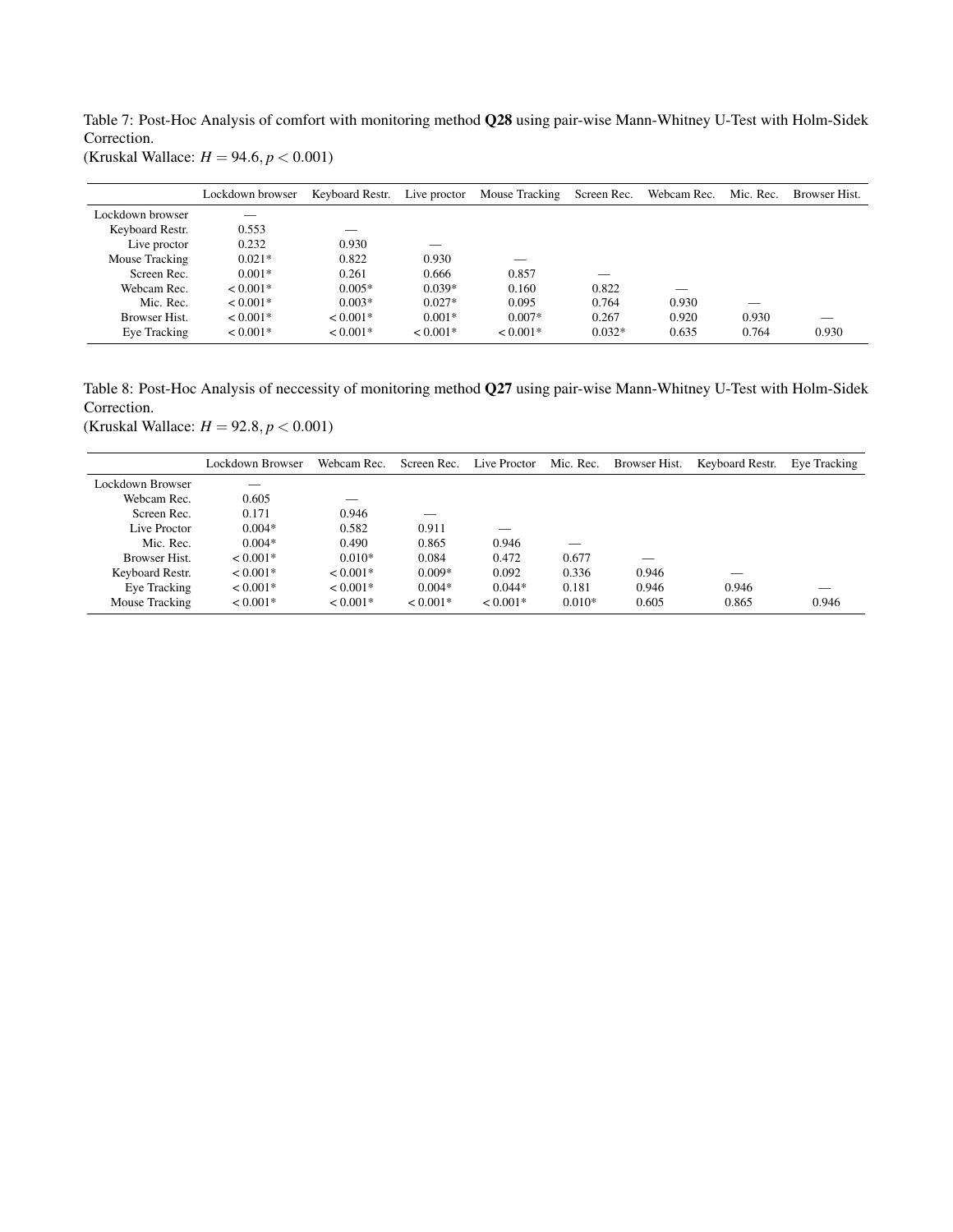<span id="page-19-0"></span>Table 7: Post-Hoc Analysis of comfort with monitoring method [Q28](#page-15-1) using pair-wise Mann-Whitney U-Test with Holm-Sidek Correction.

(Kruskal Wallace: *H* = 94.6, *p* < 0.001)

|                  | Lockdown browser | Keyboard Restr. | Live proctor | Mouse Tracking | Screen Rec. | Webcam Rec. | Mic. Rec. | Browser Hist. |
|------------------|------------------|-----------------|--------------|----------------|-------------|-------------|-----------|---------------|
| Lockdown browser |                  |                 |              |                |             |             |           |               |
| Keyboard Restr.  | 0.553            | __              |              |                |             |             |           |               |
| Live proctor     | 0.232            | 0.930           |              |                |             |             |           |               |
| Mouse Tracking   | $0.021*$         | 0.822           | 0.930        |                |             |             |           |               |
| Screen Rec.      | $0.001*$         | 0.261           | 0.666        | 0.857          |             |             |           |               |
| Webcam Rec.      | $< 0.001*$       | $0.005*$        | $0.039*$     | 0.160          | 0.822       |             |           |               |
| Mic. Rec.        | $< 0.001*$       | $0.003*$        | $0.027*$     | 0.095          | 0.764       | 0.930       |           |               |
| Browser Hist.    | $< 0.001*$       | $< 0.001*$      | $0.001*$     | $0.007*$       | 0.267       | 0.920       | 0.930     |               |
| Eye Tracking     | $< 0.001*$       | $< 0.001*$      | $< 0.001*$   | $< 0.001*$     | $0.032*$    | 0.635       | 0.764     | 0.930         |

<span id="page-19-1"></span>Table 8: Post-Hoc Analysis of neccessity of monitoring method [Q27](#page-15-8) using pair-wise Mann-Whitney U-Test with Holm-Sidek Correction.

(Kruskal Wallace: *H* = 92.8, *p* < 0.001)

|                      | Lockdown Browser | Webcam Rec. | Screen Rec. | Live Proctor | Mic. Rec. | Browser Hist. | Keyboard Restr. | Eye Tracking |
|----------------------|------------------|-------------|-------------|--------------|-----------|---------------|-----------------|--------------|
| Lockdown Browser     |                  |             |             |              |           |               |                 |              |
| Webcam Rec.          | 0.605            |             |             |              |           |               |                 |              |
| Screen Rec.          | 0.171            | 0.946       |             |              |           |               |                 |              |
| Live Proctor         | $0.004*$         | 0.582       | 0.911       |              |           |               |                 |              |
| Mic. Rec.            | $0.004*$         | 0.490       | 0.865       | 0.946        |           |               |                 |              |
| <b>Browser Hist.</b> | $< 0.001*$       | $0.010*$    | 0.084       | 0.472        | 0.677     |               |                 |              |
| Keyboard Restr.      | $< 0.001*$       | $< 0.001*$  | $0.009*$    | 0.092        | 0.336     | 0.946         |                 |              |
| Eye Tracking         | $< 0.001*$       | $< 0.001*$  | $0.004*$    | $0.044*$     | 0.181     | 0.946         | 0.946           |              |
| Mouse Tracking       | $< 0.001*$       | $< 0.001*$  | $< 0.001*$  | $< 0.001*$   | $0.010*$  | 0.605         | 0.865           | 0.946        |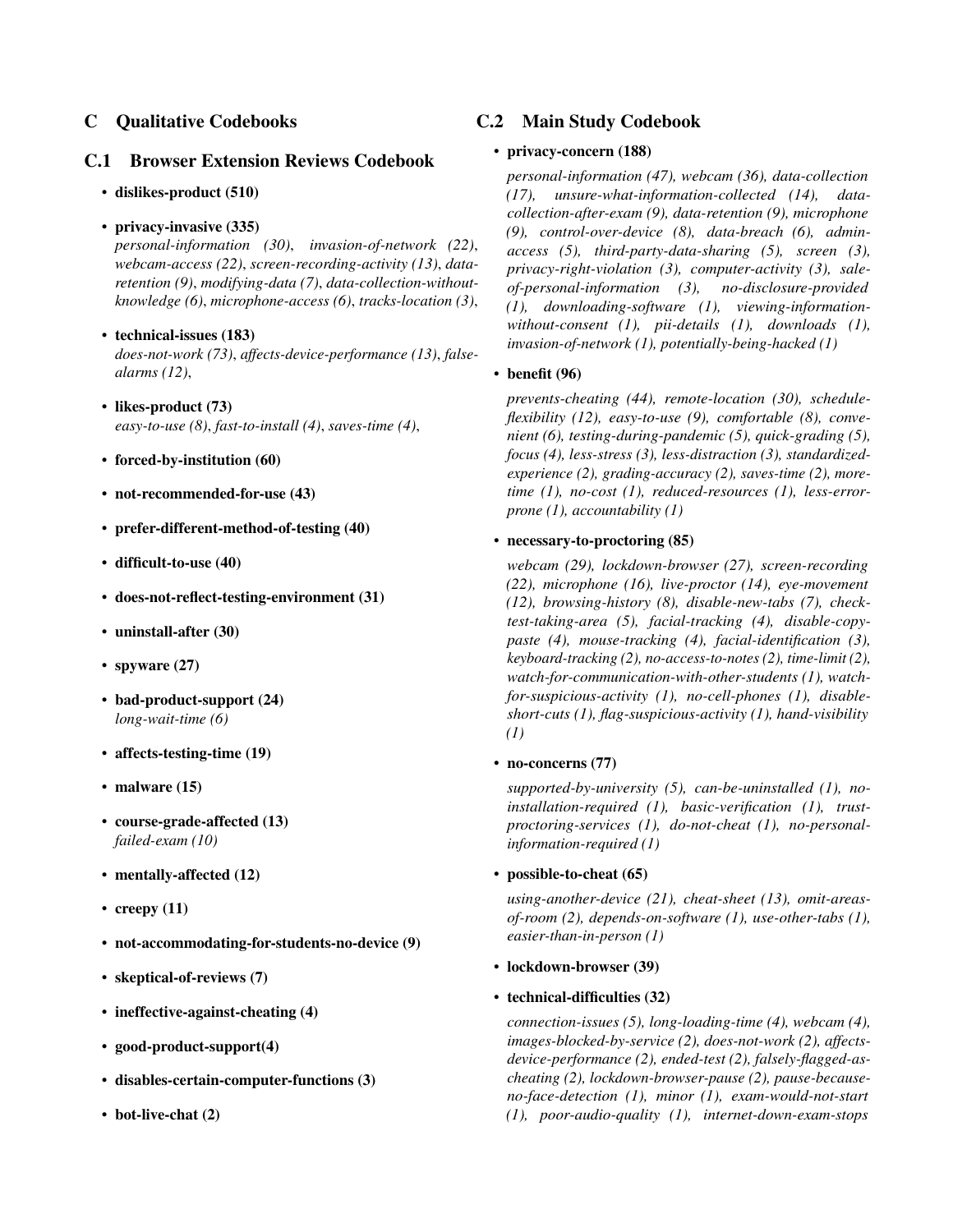## C Qualitative Codebooks

### C.1 Browser Extension Reviews Codebook

### • dislikes-product (510)

• privacy-invasive (335)

*personal-information (30)*, *invasion-of-network (22)*, *webcam-access (22)*, *screen-recording-activity (13)*, *dataretention (9)*, *modifying-data (7)*, *data-collection-withoutknowledge (6)*, *microphone-access (6)*, *tracks-location (3)*,

#### • technical-issues (183)

*does-not-work (73)*, *affects-device-performance (13)*, *falsealarms (12)*,

- likes-product (73) *easy-to-use (8)*, *fast-to-install (4)*, *saves-time (4)*,
- forced-by-institution (60)
- not-recommended-for-use (43)
- prefer-different-method-of-testing (40)
- difficult-to-use (40)
- does-not-reflect-testing-environment (31)
- uninstall-after (30)
- spyware (27)
- bad-product-support (24) *long-wait-time (6)*
- affects-testing-time (19)
- malware (15)
- course-grade-affected (13) *failed-exam (10)*
- mentally-affected  $(12)$
- creepy  $(11)$
- not-accommodating-for-students-no-device (9)
- skeptical-of-reviews (7)
- ineffective-against-cheating (4)
- good-product-support(4)
- disables-certain-computer-functions (3)
- bot-live-chat (2)

## C.2 Main Study Codebook

#### • privacy-concern (188)

*personal-information (47), webcam (36), data-collection (17), unsure-what-information-collected (14), datacollection-after-exam (9), data-retention (9), microphone (9), control-over-device (8), data-breach (6), adminaccess (5), third-party-data-sharing (5), screen (3), privacy-right-violation (3), computer-activity (3), saleof-personal-information (3), no-disclosure-provided (1), downloading-software (1), viewing-informationwithout-consent (1), pii-details (1), downloads (1), invasion-of-network (1), potentially-being-hacked (1)*

#### • benefit (96)

*prevents-cheating (44), remote-location (30), scheduleflexibility (12), easy-to-use (9), comfortable (8), convenient (6), testing-during-pandemic (5), quick-grading (5), focus (4), less-stress (3), less-distraction (3), standardizedexperience (2), grading-accuracy (2), saves-time (2), moretime (1), no-cost (1), reduced-resources (1), less-errorprone (1), accountability (1)*

#### • necessary-to-proctoring (85)

*webcam (29), lockdown-browser (27), screen-recording (22), microphone (16), live-proctor (14), eye-movement (12), browsing-history (8), disable-new-tabs (7), checktest-taking-area (5), facial-tracking (4), disable-copypaste (4), mouse-tracking (4), facial-identification (3), keyboard-tracking (2), no-access-to-notes (2), time-limit (2), watch-for-communication-with-other-students (1), watchfor-suspicious-activity (1), no-cell-phones (1), disableshort-cuts (1), flag-suspicious-activity (1), hand-visibility (1)*

• no-concerns (77)

*supported-by-university (5), can-be-uninstalled (1), noinstallation-required (1), basic-verification (1), trustproctoring-services (1), do-not-cheat (1), no-personalinformation-required (1)*

• possible-to-cheat (65)

*using-another-device (21), cheat-sheet (13), omit-areasof-room (2), depends-on-software (1), use-other-tabs (1), easier-than-in-person (1)*

• lockdown-browser (39)

#### • technical-difficulties (32)

*connection-issues (5), long-loading-time (4), webcam (4), images-blocked-by-service (2), does-not-work (2), affectsdevice-performance (2), ended-test (2), falsely-flagged-ascheating (2), lockdown-browser-pause (2), pause-becauseno-face-detection (1), minor (1), exam-would-not-start (1), poor-audio-quality (1), internet-down-exam-stops*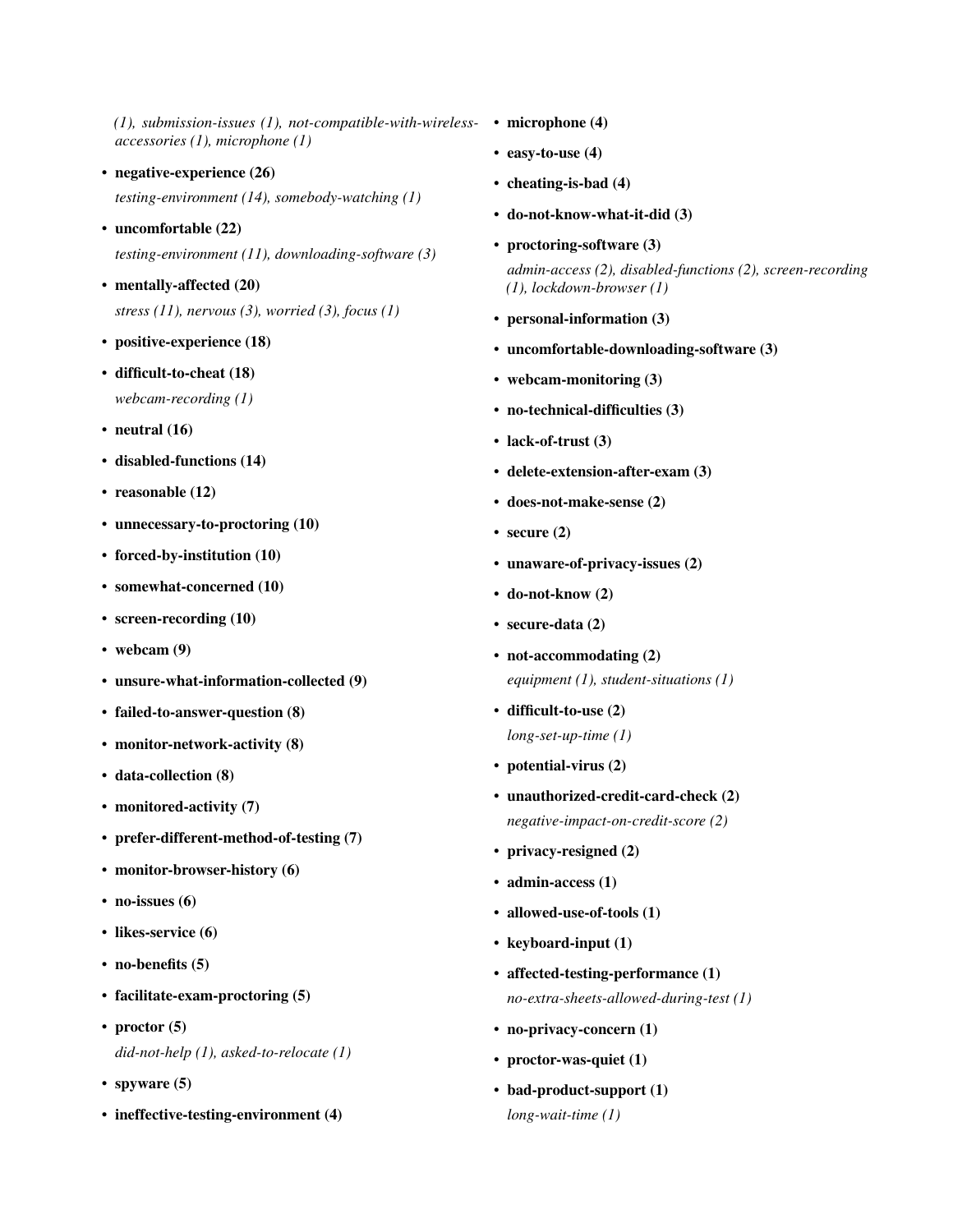*(1), submission-issues (1), not-compatible-with-wireless-*• microphone (4) *accessories (1), microphone (1)*

• negative-experience (26)

*testing-environment (14), somebody-watching (1)*

- uncomfortable (22) *testing-environment (11), downloading-software (3)*
- mentally-affected (20) *stress (11), nervous (3), worried (3), focus (1)*
- positive-experience (18)
- difficult-to-cheat (18) *webcam-recording (1)*
- neutral  $(16)$
- disabled-functions (14)
- reasonable (12)
- unnecessary-to-proctoring (10)
- forced-by-institution (10)
- somewhat-concerned (10)
- screen-recording (10)
- webcam (9)
- unsure-what-information-collected (9)
- failed-to-answer-question (8)
- monitor-network-activity (8)
- data-collection (8)
- monitored-activity (7)
- prefer-different-method-of-testing (7)
- monitor-browser-history (6)
- no-issues (6)
- likes-service (6)
- no-benefits (5)
- facilitate-exam-proctoring (5)
- proctor  $(5)$ *did-not-help (1), asked-to-relocate (1)*
- spyware (5)
- ineffective-testing-environment (4)
- 
- easy-to-use (4)
- cheating-is-bad (4)
- do-not-know-what-it-did (3)
- proctoring-software (3)

*admin-access (2), disabled-functions (2), screen-recording (1), lockdown-browser (1)*

- personal-information (3)
- uncomfortable-downloading-software (3)
- webcam-monitoring (3)
- no-technical-difficulties (3)
- lack-of-trust (3)
- delete-extension-after-exam (3)
- does-not-make-sense (2)
- secure  $(2)$
- unaware-of-privacy-issues (2)
- do-not-know (2)
- secure-data (2)
- not-accommodating (2) *equipment (1), student-situations (1)*
- difficult-to-use (2) *long-set-up-time (1)*
- potential-virus (2)
- unauthorized-credit-card-check (2) *negative-impact-on-credit-score (2)*
- privacy-resigned (2)
- admin-access (1)
- allowed-use-of-tools (1)
- keyboard-input (1)
- affected-testing-performance (1) *no-extra-sheets-allowed-during-test (1)*
- no-privacy-concern (1)
- proctor-was-quiet (1)
- bad-product-support (1) *long-wait-time (1)*